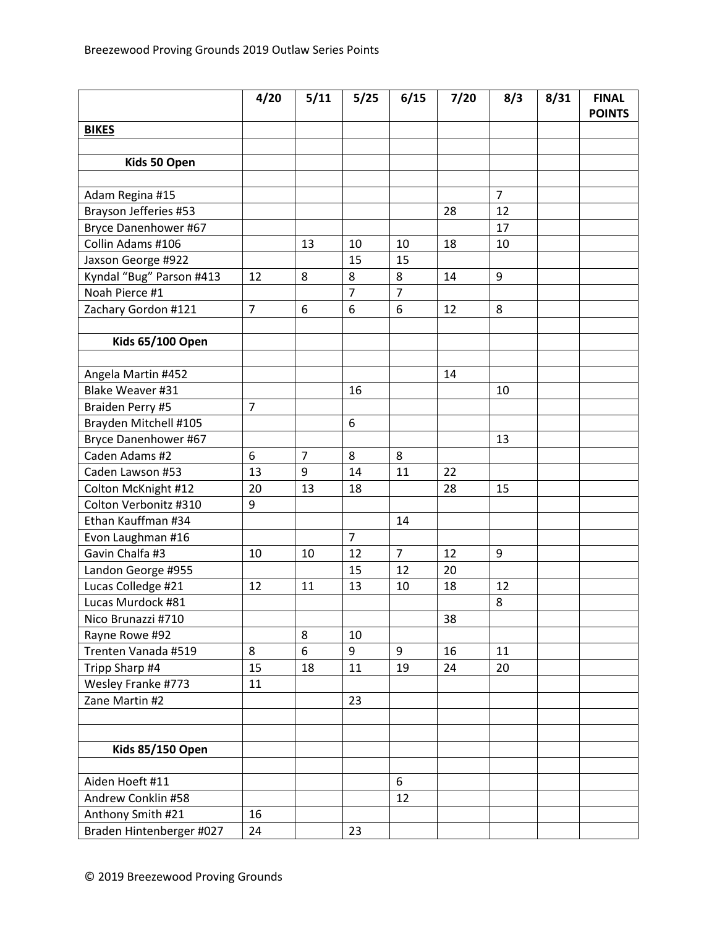|                          | 4/20           | 5/11           | 5/25           | 6/15           | 7/20 | 8/3            | 8/31 | <b>FINAL</b><br><b>POINTS</b> |
|--------------------------|----------------|----------------|----------------|----------------|------|----------------|------|-------------------------------|
| <b>BIKES</b>             |                |                |                |                |      |                |      |                               |
|                          |                |                |                |                |      |                |      |                               |
| Kids 50 Open             |                |                |                |                |      |                |      |                               |
|                          |                |                |                |                |      |                |      |                               |
| Adam Regina #15          |                |                |                |                |      | $\overline{7}$ |      |                               |
| Brayson Jefferies #53    |                |                |                |                | 28   | 12             |      |                               |
| Bryce Danenhower #67     |                |                |                |                |      | 17             |      |                               |
| Collin Adams #106        |                | 13             | 10             | 10             | 18   | 10             |      |                               |
| Jaxson George #922       |                |                | 15             | 15             |      |                |      |                               |
| Kyndal "Bug" Parson #413 | 12             | 8              | 8              | 8              | 14   | 9              |      |                               |
| Noah Pierce #1           |                |                | $\overline{7}$ | $\overline{7}$ |      |                |      |                               |
| Zachary Gordon #121      | $\overline{7}$ | 6              | 6              | 6              | 12   | 8              |      |                               |
|                          |                |                |                |                |      |                |      |                               |
| <b>Kids 65/100 Open</b>  |                |                |                |                |      |                |      |                               |
|                          |                |                |                |                |      |                |      |                               |
| Angela Martin #452       |                |                |                |                | 14   |                |      |                               |
| Blake Weaver #31         |                |                | 16             |                |      | 10             |      |                               |
| Braiden Perry #5         | 7              |                |                |                |      |                |      |                               |
| Brayden Mitchell #105    |                |                | 6              |                |      |                |      |                               |
| Bryce Danenhower #67     |                |                |                |                |      | 13             |      |                               |
| Caden Adams #2           | 6              | $\overline{7}$ | 8              | 8              |      |                |      |                               |
| Caden Lawson #53         | 13             | 9              | 14             | 11             | 22   |                |      |                               |
| Colton McKnight #12      | 20             | 13             | 18             |                | 28   | 15             |      |                               |
| Colton Verbonitz #310    | 9              |                |                |                |      |                |      |                               |
| Ethan Kauffman #34       |                |                |                | 14             |      |                |      |                               |
| Evon Laughman #16        |                |                | $\overline{7}$ |                |      |                |      |                               |
| Gavin Chalfa #3          | 10             | 10             | 12             | $\overline{7}$ | 12   | 9              |      |                               |
| Landon George #955       |                |                | 15             | 12             | 20   |                |      |                               |
| Lucas Colledge #21       | 12             | 11             | 13             | 10             | 18   | 12             |      |                               |
| Lucas Murdock #81        |                |                |                |                |      | 8              |      |                               |
| Nico Brunazzi #710       |                |                |                |                | 38   |                |      |                               |
| Rayne Rowe #92           |                | 8              | 10             |                |      |                |      |                               |
| Trenten Vanada #519      | 8              | 6              | 9              | 9              | 16   | 11             |      |                               |
| Tripp Sharp #4           | 15             | 18             | 11             | 19             | 24   | 20             |      |                               |
| Wesley Franke #773       | 11             |                |                |                |      |                |      |                               |
| Zane Martin #2           |                |                | 23             |                |      |                |      |                               |
|                          |                |                |                |                |      |                |      |                               |
|                          |                |                |                |                |      |                |      |                               |
| <b>Kids 85/150 Open</b>  |                |                |                |                |      |                |      |                               |
|                          |                |                |                |                |      |                |      |                               |
| Aiden Hoeft #11          |                |                |                | 6              |      |                |      |                               |
| Andrew Conklin #58       |                |                |                | 12             |      |                |      |                               |
| Anthony Smith #21        | 16             |                |                |                |      |                |      |                               |
| Braden Hintenberger #027 | 24             |                | 23             |                |      |                |      |                               |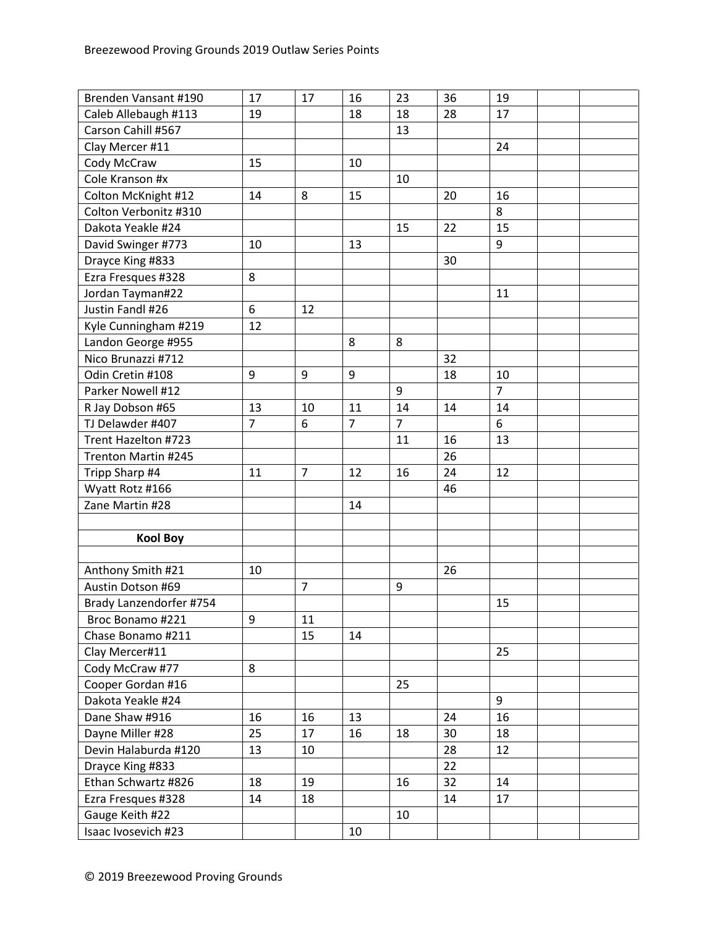| Brenden Vansant #190    | 17             | 17             | 16             | 23               | 36 | 19             |  |
|-------------------------|----------------|----------------|----------------|------------------|----|----------------|--|
| Caleb Allebaugh #113    | 19             |                | 18             | 18               | 28 | 17             |  |
| Carson Cahill #567      |                |                |                | 13               |    |                |  |
| Clay Mercer #11         |                |                |                |                  |    | 24             |  |
| Cody McCraw             | 15             |                | 10             |                  |    |                |  |
| Cole Kranson #x         |                |                |                | 10               |    |                |  |
| Colton McKnight #12     | 14             | 8              | 15             |                  | 20 | 16             |  |
| Colton Verbonitz #310   |                |                |                |                  |    | 8              |  |
| Dakota Yeakle #24       |                |                |                | 15               | 22 | 15             |  |
| David Swinger #773      | 10             |                | 13             |                  |    | 9              |  |
| Drayce King #833        |                |                |                |                  | 30 |                |  |
| Ezra Fresques #328      | 8              |                |                |                  |    |                |  |
| Jordan Tayman#22        |                |                |                |                  |    | 11             |  |
| Justin Fandl #26        | 6              | 12             |                |                  |    |                |  |
| Kyle Cunningham #219    | 12             |                |                |                  |    |                |  |
| Landon George #955      |                |                | 8              | 8                |    |                |  |
| Nico Brunazzi #712      |                |                |                |                  | 32 |                |  |
| Odin Cretin #108        | 9              | 9              | 9              |                  | 18 | 10             |  |
| Parker Nowell #12       |                |                |                | 9                |    | $\overline{7}$ |  |
| R Jay Dobson #65        | 13             | 10             | 11             | 14               | 14 | 14             |  |
| TJ Delawder #407        | $\overline{7}$ | 6              | $\overline{7}$ | $\overline{7}$   |    | 6              |  |
| Trent Hazelton #723     |                |                |                | 11               | 16 | 13             |  |
| Trenton Martin #245     |                |                |                |                  | 26 |                |  |
| Tripp Sharp #4          | 11             | $\overline{7}$ | 12             | 16               | 24 | 12             |  |
| Wyatt Rotz #166         |                |                |                |                  | 46 |                |  |
| Zane Martin #28         |                |                | 14             |                  |    |                |  |
|                         |                |                |                |                  |    |                |  |
| <b>Kool Boy</b>         |                |                |                |                  |    |                |  |
|                         |                |                |                |                  |    |                |  |
| Anthony Smith #21       | 10             |                |                |                  | 26 |                |  |
| Austin Dotson #69       |                | $\overline{7}$ |                | $\boldsymbol{9}$ |    |                |  |
| Brady Lanzendorfer #754 |                |                |                |                  |    | 15             |  |
| Broc Bonamo #221        | 9              | 11             |                |                  |    |                |  |
| Chase Bonamo #211       |                | 15             | 14             |                  |    |                |  |
| Clay Mercer#11          |                |                |                |                  |    | 25             |  |
| Cody McCraw #77         | 8              |                |                |                  |    |                |  |
| Cooper Gordan #16       |                |                |                | 25               |    |                |  |
| Dakota Yeakle #24       |                |                |                |                  |    | 9              |  |
| Dane Shaw #916          | 16             | 16             | 13             |                  | 24 | 16             |  |
| Dayne Miller #28        | 25             | 17             | 16             | 18               | 30 | 18             |  |
| Devin Halaburda #120    | 13             | 10             |                |                  | 28 | 12             |  |
| Drayce King #833        |                |                |                |                  | 22 |                |  |
| Ethan Schwartz #826     | 18             | 19             |                | 16               | 32 | 14             |  |
| Ezra Fresques #328      | 14             | 18             |                |                  | 14 | 17             |  |
| Gauge Keith #22         |                |                |                | 10               |    |                |  |
| Isaac Ivosevich #23     |                |                | 10             |                  |    |                |  |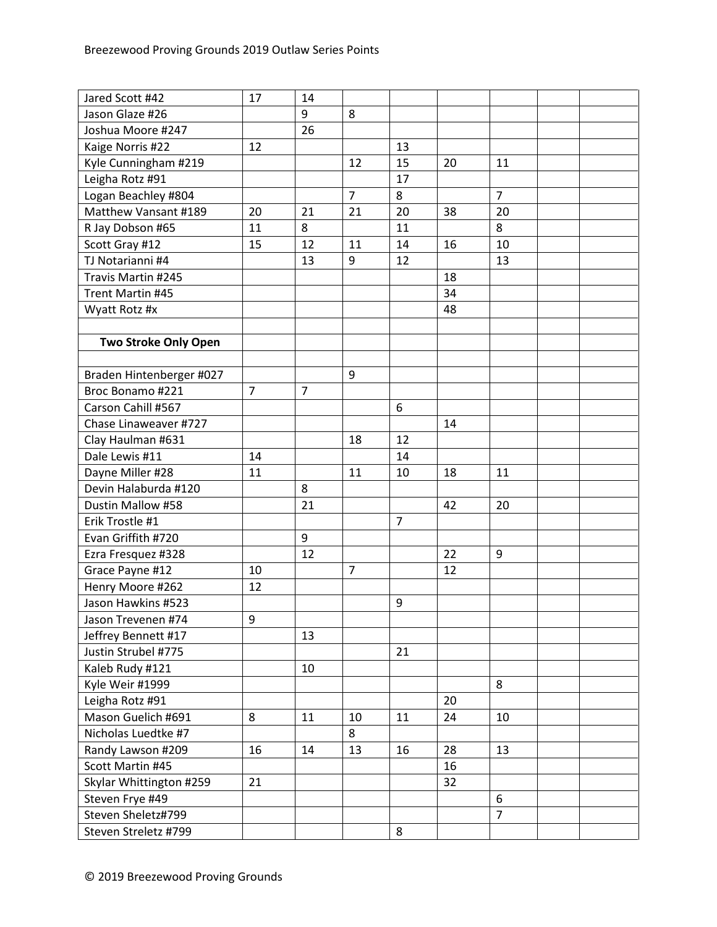| Jared Scott #42             | 17             | 14             |                |                |    |                |  |
|-----------------------------|----------------|----------------|----------------|----------------|----|----------------|--|
| Jason Glaze #26             |                | 9              | 8              |                |    |                |  |
| Joshua Moore #247           |                | 26             |                |                |    |                |  |
| Kaige Norris #22            | 12             |                |                | 13             |    |                |  |
| Kyle Cunningham #219        |                |                | 12             | 15             | 20 | 11             |  |
| Leigha Rotz #91             |                |                |                | 17             |    |                |  |
| Logan Beachley #804         |                |                | $\overline{7}$ | 8              |    | $\overline{7}$ |  |
| Matthew Vansant #189        | 20             | 21             | 21             | 20             | 38 | 20             |  |
| R Jay Dobson #65            | 11             | 8              |                | 11             |    | 8              |  |
| Scott Gray #12              | 15             | 12             | 11             | 14             | 16 | 10             |  |
| TJ Notarianni #4            |                | 13             | 9              | 12             |    | 13             |  |
| Travis Martin #245          |                |                |                |                | 18 |                |  |
| Trent Martin #45            |                |                |                |                | 34 |                |  |
| Wyatt Rotz #x               |                |                |                |                | 48 |                |  |
|                             |                |                |                |                |    |                |  |
| <b>Two Stroke Only Open</b> |                |                |                |                |    |                |  |
|                             |                |                |                |                |    |                |  |
| Braden Hintenberger #027    |                |                | 9              |                |    |                |  |
| Broc Bonamo #221            | $\overline{7}$ | $\overline{7}$ |                |                |    |                |  |
| Carson Cahill #567          |                |                |                | 6              |    |                |  |
| Chase Linaweaver #727       |                |                |                |                | 14 |                |  |
| Clay Haulman #631           |                |                | 18             | 12             |    |                |  |
| Dale Lewis #11              | 14             |                |                | 14             |    |                |  |
| Dayne Miller #28            | 11             |                | 11             | 10             | 18 | 11             |  |
| Devin Halaburda #120        |                | 8              |                |                |    |                |  |
| Dustin Mallow #58           |                | 21             |                |                | 42 | 20             |  |
| Erik Trostle #1             |                |                |                | $\overline{7}$ |    |                |  |
| Evan Griffith #720          |                | 9              |                |                |    |                |  |
| Ezra Fresquez #328          |                | 12             |                |                | 22 | 9              |  |
| Grace Payne #12             | 10             |                | $\overline{7}$ |                | 12 |                |  |
| Henry Moore #262            | 12             |                |                |                |    |                |  |
| Jason Hawkins #523          |                |                |                | 9              |    |                |  |
| Jason Trevenen #74          | 9              |                |                |                |    |                |  |
| Jeffrey Bennett #17         |                | 13             |                |                |    |                |  |
| Justin Strubel #775         |                |                |                | 21             |    |                |  |
| Kaleb Rudy #121             |                | 10             |                |                |    |                |  |
| Kyle Weir #1999             |                |                |                |                |    | 8              |  |
| Leigha Rotz #91             |                |                |                |                | 20 |                |  |
| Mason Guelich #691          | 8              | 11             | 10             | 11             | 24 | 10             |  |
| Nicholas Luedtke #7         |                |                | 8              |                |    |                |  |
| Randy Lawson #209           | 16             | 14             | 13             | 16             | 28 | 13             |  |
| Scott Martin #45            |                |                |                |                | 16 |                |  |
| Skylar Whittington #259     | 21             |                |                |                | 32 |                |  |
| Steven Frye #49             |                |                |                |                |    | 6              |  |
| Steven Sheletz#799          |                |                |                |                |    | $\overline{7}$ |  |
| Steven Streletz #799        |                |                |                | 8              |    |                |  |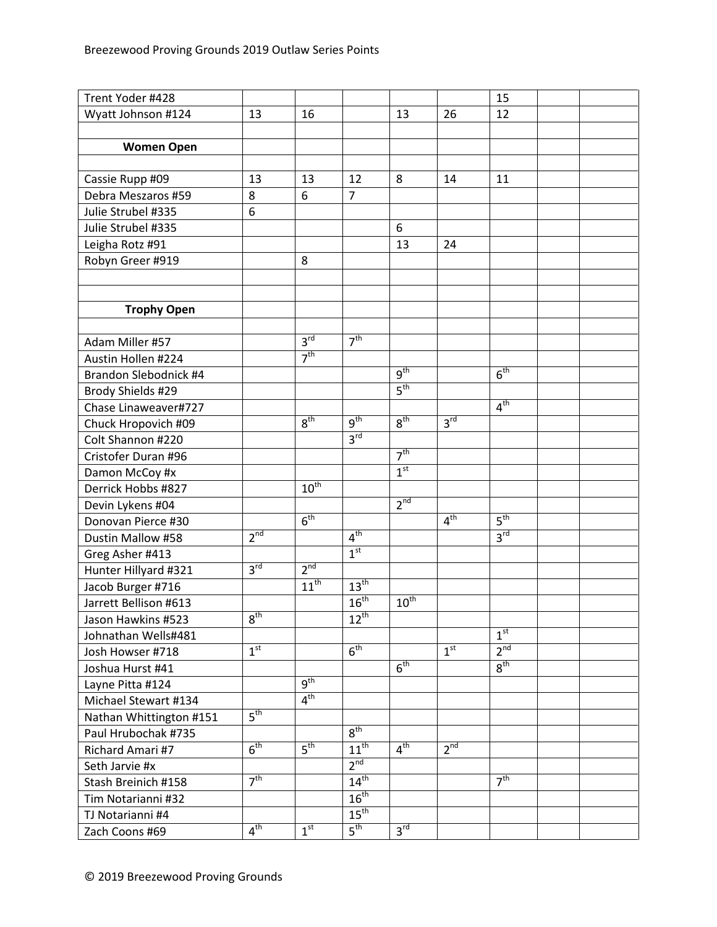| Trent Yoder #428                           |                 |                 |                  |                            |                 | 15              |  |
|--------------------------------------------|-----------------|-----------------|------------------|----------------------------|-----------------|-----------------|--|
| Wyatt Johnson #124                         | 13              | 16              |                  | 13                         | 26              | 12              |  |
|                                            |                 |                 |                  |                            |                 |                 |  |
| <b>Women Open</b>                          |                 |                 |                  |                            |                 |                 |  |
|                                            |                 |                 |                  |                            |                 |                 |  |
| Cassie Rupp #09                            | 13              | 13              | 12               | 8                          | 14              | 11              |  |
| Debra Meszaros #59                         | 8               | 6               | $\overline{7}$   |                            |                 |                 |  |
| Julie Strubel #335                         | 6               |                 |                  |                            |                 |                 |  |
| Julie Strubel #335                         |                 |                 |                  | 6                          |                 |                 |  |
| Leigha Rotz #91                            |                 |                 |                  | 13                         | 24              |                 |  |
| Robyn Greer #919                           |                 | 8               |                  |                            |                 |                 |  |
|                                            |                 |                 |                  |                            |                 |                 |  |
|                                            |                 |                 |                  |                            |                 |                 |  |
| <b>Trophy Open</b>                         |                 |                 |                  |                            |                 |                 |  |
|                                            |                 |                 |                  |                            |                 |                 |  |
| Adam Miller #57                            |                 | 3 <sup>rd</sup> | 7 <sup>th</sup>  |                            |                 |                 |  |
| Austin Hollen #224                         |                 | 7 <sup>th</sup> |                  |                            |                 |                 |  |
| Brandon Slebodnick #4                      |                 |                 |                  | 9 <sup>th</sup>            |                 | 6 <sup>th</sup> |  |
| Brody Shields #29                          |                 |                 |                  | $5^{\text{th}}$            |                 |                 |  |
| Chase Linaweaver#727                       |                 |                 |                  |                            |                 | 4 <sup>th</sup> |  |
| Chuck Hropovich #09                        |                 | 8 <sup>th</sup> | $q^{th}$         | 8 <sup>th</sup>            | 3 <sup>rd</sup> |                 |  |
| Colt Shannon #220                          |                 |                 | 3 <sup>rd</sup>  |                            |                 |                 |  |
| Cristofer Duran #96                        |                 |                 |                  | 7 <sup>th</sup>            |                 |                 |  |
| Damon McCoy #x                             |                 |                 |                  | 1 <sup>st</sup>            |                 |                 |  |
| Derrick Hobbs #827                         |                 | $10^{th}$       |                  |                            |                 |                 |  |
|                                            |                 |                 |                  | 2 <sup>nd</sup>            |                 |                 |  |
| Devin Lykens #04<br>Donovan Pierce #30     |                 | 6 <sup>th</sup> |                  |                            | 4 <sup>th</sup> | 5 <sup>th</sup> |  |
| Dustin Mallow #58                          | 2 <sup>nd</sup> |                 | 4 <sup>th</sup>  |                            |                 | 3 <sup>rd</sup> |  |
|                                            |                 |                 | 1 <sup>st</sup>  |                            |                 |                 |  |
| Greg Asher #413                            | $3^{\text{rd}}$ | 2 <sup>nd</sup> |                  |                            |                 |                 |  |
| Hunter Hillyard #321                       |                 | $11^{th}$       | $13^{\text{th}}$ |                            |                 |                 |  |
| Jacob Burger #716<br>Jarrett Bellison #613 |                 |                 | $16^{th}$        | $10^{\text{th}}$           |                 |                 |  |
|                                            | $8^{\text{th}}$ |                 |                  |                            |                 |                 |  |
| Jason Hawkins #523                         |                 |                 | $12^{\text{th}}$ |                            |                 | 1 <sup>st</sup> |  |
| Johnathan Wells#481                        | 1 <sup>st</sup> |                 | 6 <sup>th</sup>  |                            | 1 <sup>st</sup> | 2 <sup>nd</sup> |  |
| Josh Howser #718                           |                 |                 |                  | 6 <sup>th</sup>            |                 | 8 <sup>th</sup> |  |
| Joshua Hurst #41                           |                 | $q^{th}$        |                  |                            |                 |                 |  |
| Layne Pitta #124                           |                 |                 |                  |                            |                 |                 |  |
| Michael Stewart #134                       |                 | 4 <sup>th</sup> |                  |                            |                 |                 |  |
| Nathan Whittington #151                    | 5 <sup>th</sup> |                 |                  |                            |                 |                 |  |
| Paul Hrubochak #735                        |                 |                 | $8^{\text{th}}$  |                            |                 |                 |  |
| Richard Amari #7                           | $6^{\text{th}}$ | 5 <sup>th</sup> | $11^{th}$        | 4 <sup>th</sup>            | $2^{nd}$        |                 |  |
| Seth Jarvie #x                             |                 |                 | 2 <sup>nd</sup>  |                            |                 |                 |  |
| Stash Breinich #158                        | 7 <sup>th</sup> |                 | 14 <sup>th</sup> |                            |                 | 7 <sup>th</sup> |  |
| Tim Notarianni #32                         |                 |                 | 16 <sup>th</sup> |                            |                 |                 |  |
| TJ Notarianni #4                           |                 |                 | $15^{\text{th}}$ |                            |                 |                 |  |
| Zach Coons #69                             | 4 <sup>th</sup> | 1 <sup>st</sup> | $5^{\text{th}}$  | $3^{\overline{\text{rd}}}$ |                 |                 |  |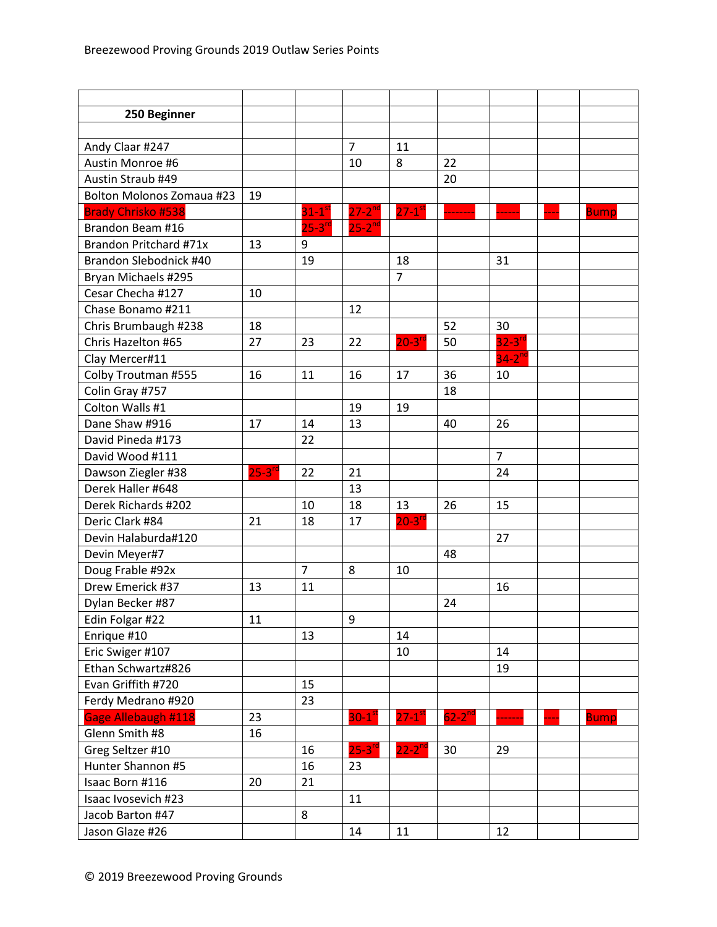| 250 Beginner              |                      |                  |                      |                      |               |                      |             |
|---------------------------|----------------------|------------------|----------------------|----------------------|---------------|----------------------|-------------|
|                           |                      |                  |                      |                      |               |                      |             |
| Andy Claar #247           |                      |                  | $\overline{7}$       | 11                   |               |                      |             |
| Austin Monroe #6          |                      |                  | 10                   | 8                    | 22            |                      |             |
| Austin Straub #49         |                      |                  |                      |                      | 20            |                      |             |
| Bolton Molonos Zomaua #23 | 19                   |                  |                      |                      |               |                      |             |
| <b>Brady Chrisko #538</b> |                      | $31-1^\text{st}$ | $27 - 2^{nd}$        | $27-1$ <sup>st</sup> |               |                      | <b>Bump</b> |
| Brandon Beam #16          |                      | $25 - 3^{rc}$    | $25 - 2^{nd}$        |                      |               |                      |             |
| Brandon Pritchard #71x    | 13                   | 9                |                      |                      |               |                      |             |
| Brandon Slebodnick #40    |                      | 19               |                      | 18                   |               | 31                   |             |
| Bryan Michaels #295       |                      |                  |                      | $\overline{7}$       |               |                      |             |
| Cesar Checha #127         | 10                   |                  |                      |                      |               |                      |             |
| Chase Bonamo #211         |                      |                  | 12                   |                      |               |                      |             |
| Chris Brumbaugh #238      | 18                   |                  |                      |                      | 52            | 30                   |             |
| Chris Hazelton #65        | 27                   | 23               | 22                   | $20-3$ <sup>rd</sup> | 50            | $32-3$ <sup>rd</sup> |             |
| Clay Mercer#11            |                      |                  |                      |                      |               | $34-2$ <sup>nd</sup> |             |
| Colby Troutman #555       | 16                   | 11               | 16                   | 17                   | 36            | 10                   |             |
| Colin Gray #757           |                      |                  |                      |                      | 18            |                      |             |
| Colton Walls #1           |                      |                  | 19                   | 19                   |               |                      |             |
| Dane Shaw #916            | 17                   | 14               | 13                   |                      | 40            | 26                   |             |
| David Pineda #173         |                      | 22               |                      |                      |               |                      |             |
| David Wood #111           |                      |                  |                      |                      |               | $\overline{7}$       |             |
| Dawson Ziegler #38        | $25-3$ <sup>rd</sup> | 22               | 21                   |                      |               | 24                   |             |
| Derek Haller #648         |                      |                  | 13                   |                      |               |                      |             |
| Derek Richards #202       |                      | 10               | 18                   | 13                   | 26            | 15                   |             |
| Deric Clark #84           | 21                   | 18               | 17                   | $20-3$ <sup>rd</sup> |               |                      |             |
| Devin Halaburda#120       |                      |                  |                      |                      |               | 27                   |             |
| Devin Meyer#7             |                      |                  |                      |                      | 48            |                      |             |
| Doug Frable #92x          |                      | $\overline{7}$   | 8                    | 10                   |               |                      |             |
| Drew Emerick #37          | 13                   | 11               |                      |                      |               | 16                   |             |
| Dylan Becker #87          |                      |                  |                      |                      | 24            |                      |             |
| Edin Folgar #22           | 11                   |                  | 9                    |                      |               |                      |             |
| Enrique #10               |                      | 13               |                      | 14                   |               |                      |             |
| Eric Swiger #107          |                      |                  |                      | 10                   |               | 14                   |             |
| Ethan Schwartz#826        |                      |                  |                      |                      |               | 19                   |             |
| Evan Griffith #720        |                      | 15               |                      |                      |               |                      |             |
| Ferdy Medrano #920        |                      | 23               |                      |                      |               |                      |             |
| Gage Allebaugh #118       | 23                   |                  | $30-1$ <sup>st</sup> | $27-1$ <sup>st</sup> | $62 - 2^{nd}$ |                      | <b>Bump</b> |
| Glenn Smith #8            | 16                   |                  |                      |                      |               |                      |             |
| Greg Seltzer #10          |                      | 16               | $25 - 3^{10}$        | $22-2$ <sup>nd</sup> | 30            | 29                   |             |
| Hunter Shannon #5         |                      | 16               | 23                   |                      |               |                      |             |
| Isaac Born #116           | 20                   | 21               |                      |                      |               |                      |             |
| Isaac Ivosevich #23       |                      |                  | 11                   |                      |               |                      |             |
| Jacob Barton #47          |                      | 8                |                      |                      |               |                      |             |
| Jason Glaze #26           |                      |                  | 14                   | 11                   |               | 12                   |             |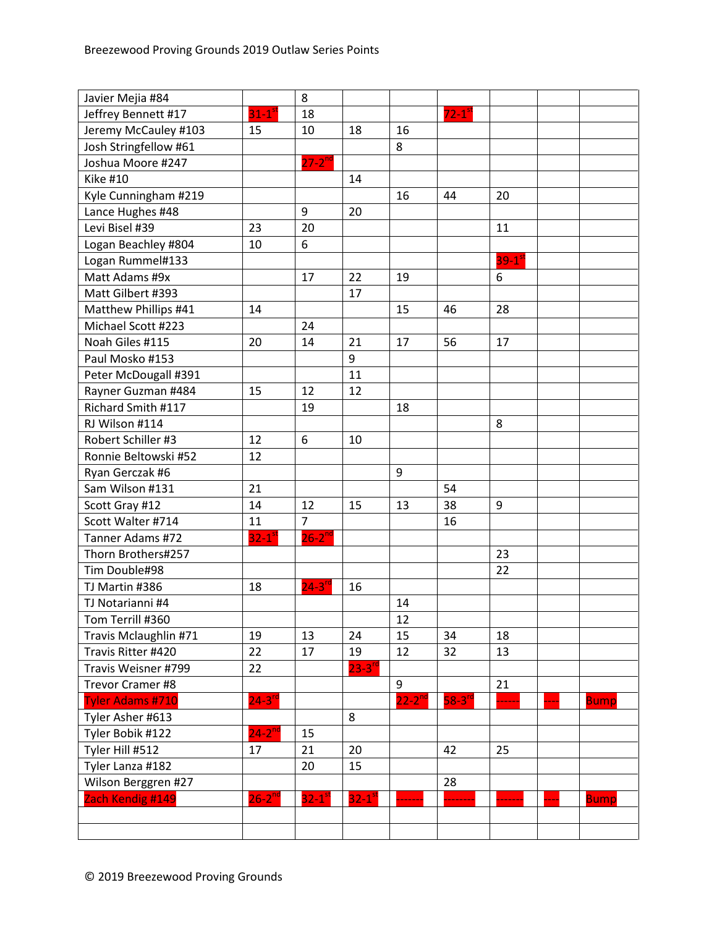| Javier Mejia #84        |                      | 8                      |                        |             |                      |                      |             |
|-------------------------|----------------------|------------------------|------------------------|-------------|----------------------|----------------------|-------------|
| Jeffrey Bennett #17     | $31-1$ <sup>st</sup> | 18                     |                        |             | $72-1$ <sup>st</sup> |                      |             |
| Jeremy McCauley #103    | 15                   | 10                     | 18                     | 16          |                      |                      |             |
| Josh Stringfellow #61   |                      |                        |                        | 8           |                      |                      |             |
| Joshua Moore #247       |                      | $27 - 2^{nd}$          |                        |             |                      |                      |             |
| <b>Kike #10</b>         |                      |                        | 14                     |             |                      |                      |             |
| Kyle Cunningham #219    |                      |                        |                        | 16          | 44                   | 20                   |             |
| Lance Hughes #48        |                      | 9                      | 20                     |             |                      |                      |             |
| Levi Bisel #39          | 23                   | 20                     |                        |             |                      | 11                   |             |
| Logan Beachley #804     | 10                   | 6                      |                        |             |                      |                      |             |
| Logan Rummel#133        |                      |                        |                        |             |                      | $39-1$ <sup>st</sup> |             |
| Matt Adams #9x          |                      | 17                     | 22                     | 19          |                      | 6                    |             |
| Matt Gilbert #393       |                      |                        | 17                     |             |                      |                      |             |
| Matthew Phillips #41    | 14                   |                        |                        | 15          | 46                   | 28                   |             |
| Michael Scott #223      |                      | 24                     |                        |             |                      |                      |             |
| Noah Giles #115         | 20                   | 14                     | 21                     | 17          | 56                   | 17                   |             |
| Paul Mosko #153         |                      |                        | 9                      |             |                      |                      |             |
| Peter McDougall #391    |                      |                        | 11                     |             |                      |                      |             |
| Rayner Guzman #484      | 15                   | 12                     | 12                     |             |                      |                      |             |
| Richard Smith #117      |                      | 19                     |                        | 18          |                      |                      |             |
| RJ Wilson #114          |                      |                        |                        |             |                      | 8                    |             |
| Robert Schiller #3      | 12                   | 6                      | 10                     |             |                      |                      |             |
| Ronnie Beltowski #52    | 12                   |                        |                        |             |                      |                      |             |
| Ryan Gerczak #6         |                      |                        |                        | 9           |                      |                      |             |
| Sam Wilson #131         | 21                   |                        |                        |             | 54                   |                      |             |
| Scott Gray #12          | 14                   | 12                     | 15                     | 13          | 38                   | 9                    |             |
| Scott Walter #714       | 11                   | $\overline{7}$         |                        |             | 16                   |                      |             |
| Tanner Adams #72        | $32-1$ <sup>st</sup> | $26 - 2^{nd}$          |                        |             |                      |                      |             |
| Thorn Brothers#257      |                      |                        |                        |             |                      | 23                   |             |
| Tim Double#98           |                      |                        |                        |             |                      | 22                   |             |
| TJ Martin #386          | 18                   | $24 - 3^{r}$           | 16                     |             |                      |                      |             |
| TJ Notarianni #4        |                      |                        |                        | 14          |                      |                      |             |
| Tom Terrill #360        |                      |                        |                        | 12          |                      |                      |             |
| Travis Mclaughlin #71   | 19                   | 13                     | 24                     | 15          | 34                   | 18                   |             |
| Travis Ritter #420      | 22                   | 17                     | 19                     | 12          | 32                   | 13                   |             |
| Travis Weisner #799     | 22                   |                        | $23 - 3^{10}$          |             |                      |                      |             |
| Trevor Cramer #8        |                      |                        |                        | 9           |                      | 21                   |             |
| <b>Tyler Adams #710</b> | $24 - 3^{rd}$        |                        |                        | $22-2^{nd}$ | $58-3$ <sup>rd</sup> |                      | <b>Bump</b> |
| Tyler Asher #613        |                      |                        | 8                      |             |                      |                      |             |
| Tyler Bobik #122        | $24-2$ <sup>nd</sup> | 15                     |                        |             |                      |                      |             |
| Tyler Hill #512         | 17                   | 21                     | 20                     |             | 42                   | 25                   |             |
| Tyler Lanza #182        |                      | 20                     | 15                     |             |                      |                      |             |
| Wilson Berggren #27     |                      |                        |                        |             | 28                   |                      |             |
| Zach Kendig #149        | $26 - 2^{nd}$        | $32 - 1$ <sup>st</sup> | $32 - 1$ <sup>st</sup> |             |                      | -----                | <b>Bump</b> |
|                         |                      |                        |                        |             |                      |                      |             |
|                         |                      |                        |                        |             |                      |                      |             |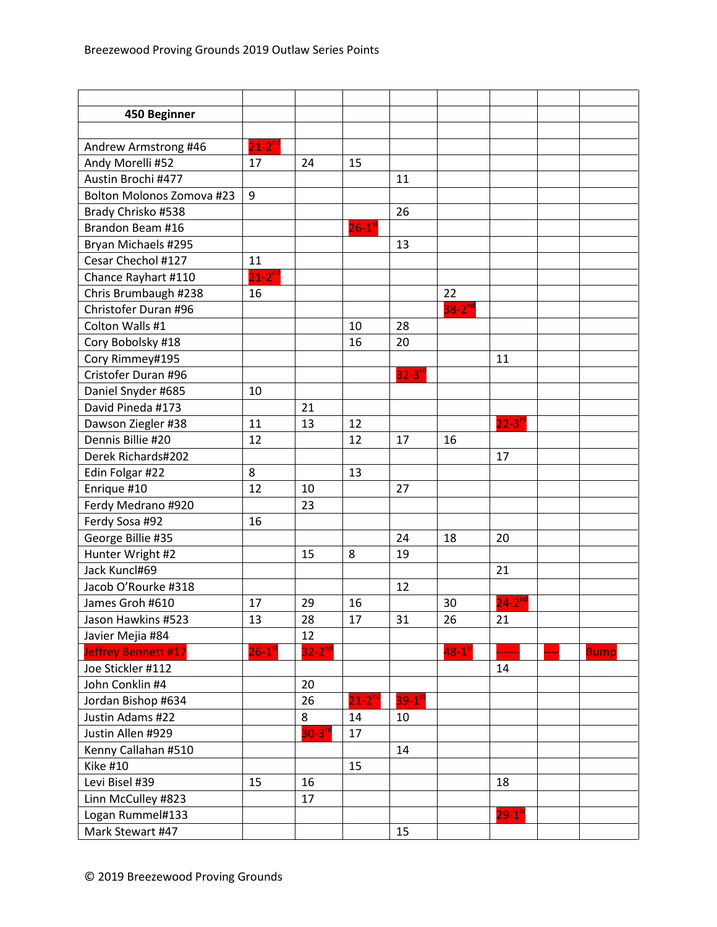| 450 Beginner              |                      |                      |                      |             |                      |                        |             |
|---------------------------|----------------------|----------------------|----------------------|-------------|----------------------|------------------------|-------------|
|                           |                      |                      |                      |             |                      |                        |             |
| Andrew Armstrong #46      | $21-2$ <sup>nd</sup> |                      |                      |             |                      |                        |             |
| Andy Morelli #52          | 17                   | 24                   | 15                   |             |                      |                        |             |
| Austin Brochi #477        |                      |                      |                      | 11          |                      |                        |             |
| Bolton Molonos Zomova #23 | 9                    |                      |                      |             |                      |                        |             |
| Brady Chrisko #538        |                      |                      |                      | 26          |                      |                        |             |
| Brandon Beam #16          |                      |                      | $26-1$ <sup>st</sup> |             |                      |                        |             |
| Bryan Michaels #295       |                      |                      |                      | 13          |                      |                        |             |
| Cesar Chechol #127        | 11                   |                      |                      |             |                      |                        |             |
| Chance Rayhart #110       | $21-2^{nd}$          |                      |                      |             |                      |                        |             |
| Chris Brumbaugh #238      | 16                   |                      |                      |             | 22                   |                        |             |
| Christofer Duran #96      |                      |                      |                      |             | $38-2$ <sup>nd</sup> |                        |             |
| Colton Walls #1           |                      |                      | 10                   | 28          |                      |                        |             |
| Cory Bobolsky #18         |                      |                      | 16                   | 20          |                      |                        |             |
| Cory Rimmey#195           |                      |                      |                      |             |                      | 11                     |             |
| Cristofer Duran #96       |                      |                      |                      | $32-3^{rd}$ |                      |                        |             |
| Daniel Snyder #685        | 10                   |                      |                      |             |                      |                        |             |
| David Pineda #173         |                      | 21                   |                      |             |                      |                        |             |
| Dawson Ziegler #38        | 11                   | 13                   | 12                   |             |                      | $22-3^{rd}$            |             |
| Dennis Billie #20         | 12                   |                      | 12                   | 17          | 16                   |                        |             |
| Derek Richards#202        |                      |                      |                      |             |                      | 17                     |             |
| Edin Folgar #22           | 8                    |                      | 13                   |             |                      |                        |             |
| Enrique #10               | 12                   | 10                   |                      | 27          |                      |                        |             |
| Ferdy Medrano #920        |                      | 23                   |                      |             |                      |                        |             |
| Ferdy Sosa #92            | 16                   |                      |                      |             |                      |                        |             |
| George Billie #35         |                      |                      |                      | 24          | 18                   | 20                     |             |
| Hunter Wright #2          |                      | 15                   | 8                    | 19          |                      |                        |             |
| Jack Kuncl#69             |                      |                      |                      |             |                      | 21                     |             |
| Jacob O'Rourke #318       |                      |                      |                      | 12          |                      |                        |             |
| James Groh #610           | 17                   | 29                   | 16                   |             | 30                   | $24 - 2^{nc}$          |             |
| Jason Hawkins #523        | 13                   | 28                   | 17                   | 31          | 26                   | 21                     |             |
| Javier Mejia #84          |                      | 12                   |                      |             |                      |                        |             |
| Jeffrey Bennett #17       | $26-1$ <sup>st</sup> | $32-2$ <sup>nd</sup> |                      |             | $48-1^\text{st}$     |                        | <b>Bump</b> |
| Joe Stickler #112         |                      |                      |                      |             |                      | 14                     |             |
| John Conklin #4           |                      | 20                   |                      |             |                      |                        |             |
| Jordan Bishop #634        |                      | 26                   | $21-2^{nd}$          | $39-1^{st}$ |                      |                        |             |
| Justin Adams #22          |                      | 8                    | 14                   | 10          |                      |                        |             |
| Justin Allen #929         |                      | $30-3^{rd}$          | 17                   |             |                      |                        |             |
| Kenny Callahan #510       |                      |                      |                      | 14          |                      |                        |             |
| Kike #10                  |                      |                      | 15                   |             |                      |                        |             |
| Levi Bisel #39            | 15                   | 16                   |                      |             |                      | 18                     |             |
| Linn McCulley #823        |                      | 17                   |                      |             |                      |                        |             |
| Logan Rummel#133          |                      |                      |                      |             |                      | $29 - 1$ <sup>st</sup> |             |
| Mark Stewart #47          |                      |                      |                      | 15          |                      |                        |             |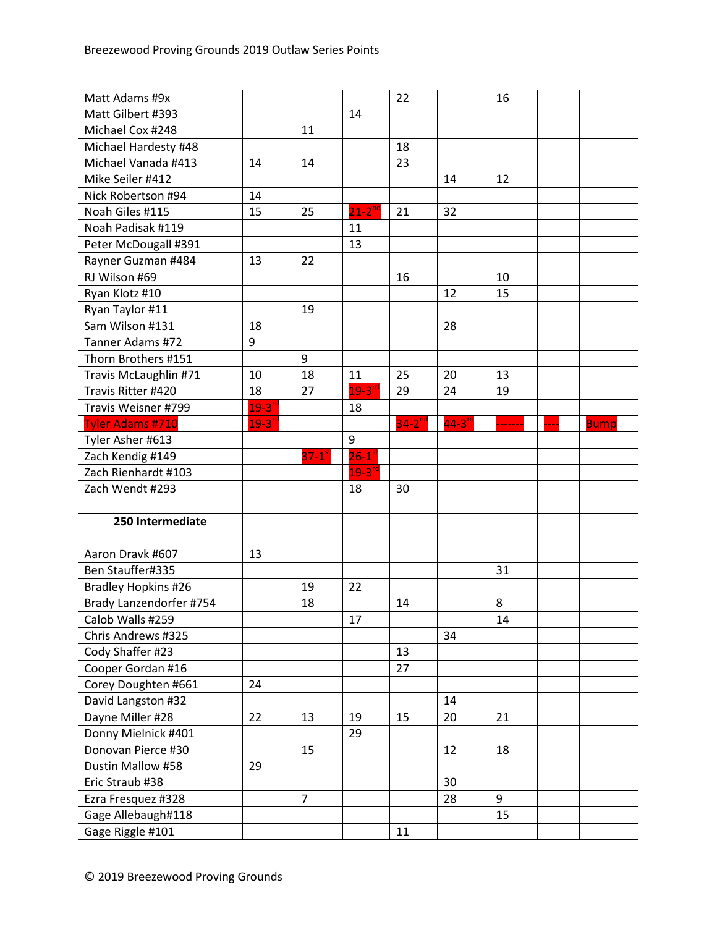| Matt Adams #9x          |               |                      |                      | 22            |                      | 16 |             |
|-------------------------|---------------|----------------------|----------------------|---------------|----------------------|----|-------------|
| Matt Gilbert #393       |               |                      | 14                   |               |                      |    |             |
| Michael Cox #248        |               | 11                   |                      |               |                      |    |             |
| Michael Hardesty #48    |               |                      |                      | 18            |                      |    |             |
| Michael Vanada #413     | 14            | 14                   |                      | 23            |                      |    |             |
| Mike Seiler #412        |               |                      |                      |               | 14                   | 12 |             |
| Nick Robertson #94      | 14            |                      |                      |               |                      |    |             |
| Noah Giles #115         | 15            | 25                   | $21-2^{nd}$          | 21            | 32                   |    |             |
| Noah Padisak #119       |               |                      | 11                   |               |                      |    |             |
| Peter McDougall #391    |               |                      | 13                   |               |                      |    |             |
| Rayner Guzman #484      | 13            | 22                   |                      |               |                      |    |             |
| RJ Wilson #69           |               |                      |                      | 16            |                      | 10 |             |
| Ryan Klotz #10          |               |                      |                      |               | 12                   | 15 |             |
| Ryan Taylor #11         |               | 19                   |                      |               |                      |    |             |
| Sam Wilson #131         | 18            |                      |                      |               | 28                   |    |             |
| Tanner Adams #72        | 9             |                      |                      |               |                      |    |             |
| Thorn Brothers #151     |               | 9                    |                      |               |                      |    |             |
| Travis McLaughlin #71   | 10            | 18                   | 11                   | 25            | 20                   | 13 |             |
| Travis Ritter #420      | 18            | 27                   | $19-3$ <sup>r</sup>  | 29            | 24                   | 19 |             |
| Travis Weisner #799     | $19 - 3^{rd}$ |                      | 18                   |               |                      |    |             |
| <b>Tyler Adams #710</b> | $19 - 3^{rd}$ |                      |                      | $34 - 2^{nd}$ | $44-3$ <sup>rd</sup> |    | <b>Bump</b> |
| Tyler Asher #613        |               |                      | 9                    |               |                      |    |             |
| Zach Kendig #149        |               | $37-1$ <sup>st</sup> | $26-1$ <sup>st</sup> |               |                      |    |             |
| Zach Rienhardt #103     |               |                      | $19-3$ <sup>rc</sup> |               |                      |    |             |
| Zach Wendt #293         |               |                      | 18                   | 30            |                      |    |             |
|                         |               |                      |                      |               |                      |    |             |
| 250 Intermediate        |               |                      |                      |               |                      |    |             |
|                         |               |                      |                      |               |                      |    |             |
| Aaron Dravk #607        | 13            |                      |                      |               |                      |    |             |
| Ben Stauffer#335        |               |                      |                      |               |                      | 31 |             |
| Bradley Hopkins #26     |               | 19                   | 22                   |               |                      |    |             |
| Brady Lanzendorfer #754 |               | 18                   |                      | 14            |                      | 8  |             |
| Calob Walls #259        |               |                      | 17                   |               |                      | 14 |             |
| Chris Andrews #325      |               |                      |                      |               | 34                   |    |             |
| Cody Shaffer #23        |               |                      |                      | 13            |                      |    |             |
| Cooper Gordan #16       |               |                      |                      | 27            |                      |    |             |
| Corey Doughten #661     | 24            |                      |                      |               |                      |    |             |
| David Langston #32      |               |                      |                      |               | 14                   |    |             |
| Dayne Miller #28        | 22            | 13                   | 19                   | 15            | 20                   | 21 |             |
| Donny Mielnick #401     |               |                      | 29                   |               |                      |    |             |
| Donovan Pierce #30      |               | 15                   |                      |               | 12                   | 18 |             |
| Dustin Mallow #58       | 29            |                      |                      |               |                      |    |             |
| Eric Straub #38         |               |                      |                      |               | 30                   |    |             |
| Ezra Fresquez #328      |               | $\overline{7}$       |                      |               | 28                   | 9  |             |
| Gage Allebaugh#118      |               |                      |                      |               |                      | 15 |             |
| Gage Riggle #101        |               |                      |                      | 11            |                      |    |             |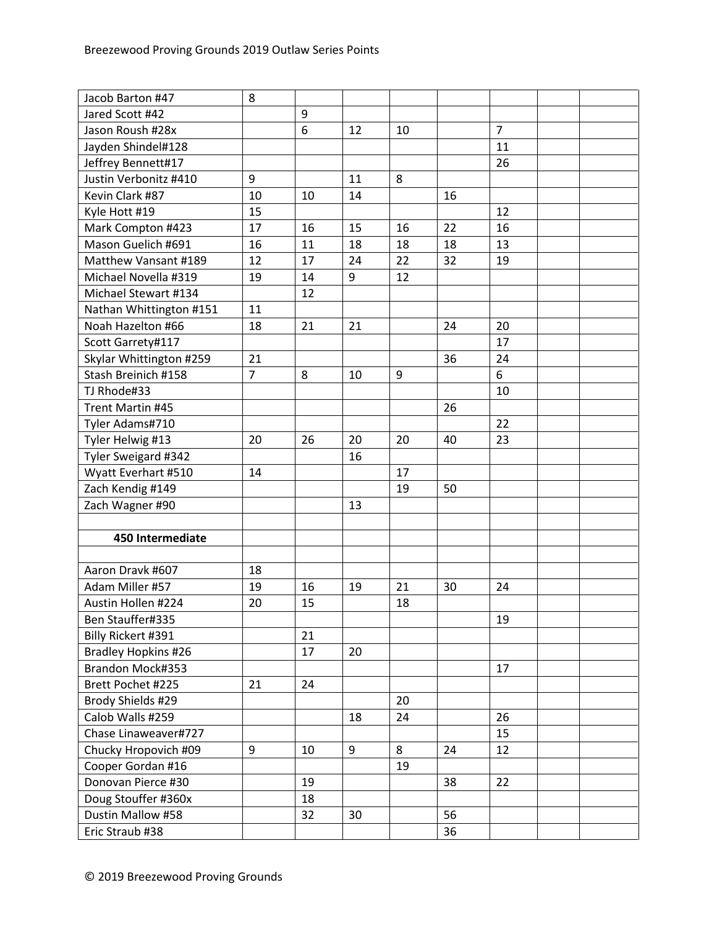| Jacob Barton #47        | 8              |    |    |    |    |                |  |
|-------------------------|----------------|----|----|----|----|----------------|--|
| Jared Scott #42         |                | 9  |    |    |    |                |  |
| Jason Roush #28x        |                | 6  | 12 | 10 |    | $\overline{7}$ |  |
| Jayden Shindel#128      |                |    |    |    |    | 11             |  |
| Jeffrey Bennett#17      |                |    |    |    |    | 26             |  |
| Justin Verbonitz #410   | 9              |    | 11 | 8  |    |                |  |
| Kevin Clark #87         | 10             | 10 | 14 |    | 16 |                |  |
| Kyle Hott #19           | 15             |    |    |    |    | 12             |  |
| Mark Compton #423       | 17             | 16 | 15 | 16 | 22 | 16             |  |
| Mason Guelich #691      | 16             | 11 | 18 | 18 | 18 | 13             |  |
| Matthew Vansant #189    | 12             | 17 | 24 | 22 | 32 | 19             |  |
| Michael Novella #319    | 19             | 14 | 9  | 12 |    |                |  |
| Michael Stewart #134    |                | 12 |    |    |    |                |  |
| Nathan Whittington #151 | 11             |    |    |    |    |                |  |
| Noah Hazelton #66       | 18             | 21 | 21 |    | 24 | 20             |  |
| Scott Garrety#117       |                |    |    |    |    | 17             |  |
| Skylar Whittington #259 | 21             |    |    |    | 36 | 24             |  |
| Stash Breinich #158     | $\overline{7}$ | 8  | 10 | 9  |    | 6              |  |
| TJ Rhode#33             |                |    |    |    |    | 10             |  |
| Trent Martin #45        |                |    |    |    | 26 |                |  |
| Tyler Adams#710         |                |    |    |    |    | 22             |  |
| Tyler Helwig #13        | 20             | 26 | 20 | 20 | 40 | 23             |  |
| Tyler Sweigard #342     |                |    | 16 |    |    |                |  |
| Wyatt Everhart #510     | 14             |    |    | 17 |    |                |  |
| Zach Kendig #149        |                |    |    | 19 | 50 |                |  |
| Zach Wagner #90         |                |    | 13 |    |    |                |  |
|                         |                |    |    |    |    |                |  |
| 450 Intermediate        |                |    |    |    |    |                |  |
|                         |                |    |    |    |    |                |  |
| Aaron Dravk #607        | 18             |    |    |    |    |                |  |
| Adam Miller #57         | 19             | 16 | 19 | 21 | 30 | 24             |  |
| Austin Hollen #224      | 20             | 15 |    | 18 |    |                |  |
| Ben Stauffer#335        |                |    |    |    |    | 19             |  |
| Billy Rickert #391      |                | 21 |    |    |    |                |  |
| Bradley Hopkins #26     |                | 17 | 20 |    |    |                |  |
| Brandon Mock#353        |                |    |    |    |    | 17             |  |
| Brett Pochet #225       | 21             | 24 |    |    |    |                |  |
| Brody Shields #29       |                |    |    | 20 |    |                |  |
| Calob Walls #259        |                |    | 18 | 24 |    | 26             |  |
| Chase Linaweaver#727    |                |    |    |    |    | 15             |  |
| Chucky Hropovich #09    | 9              | 10 | 9  | 8  | 24 | 12             |  |
| Cooper Gordan #16       |                |    |    | 19 |    |                |  |
| Donovan Pierce #30      |                | 19 |    |    | 38 | 22             |  |
| Doug Stouffer #360x     |                | 18 |    |    |    |                |  |
| Dustin Mallow #58       |                | 32 | 30 |    | 56 |                |  |
| Eric Straub #38         |                |    |    |    | 36 |                |  |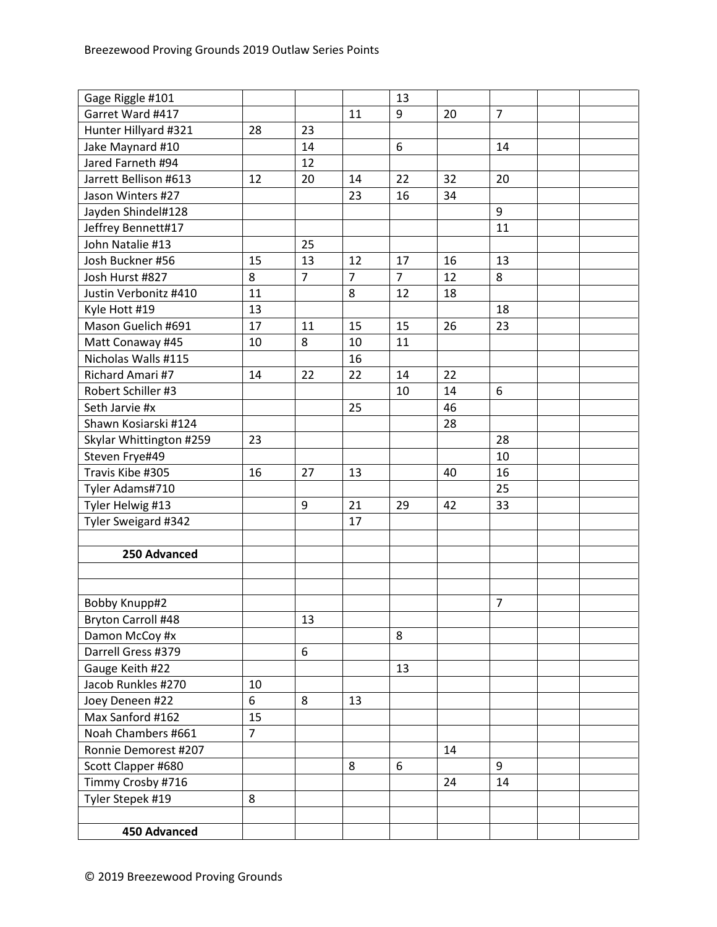| Gage Riggle #101        |                |                |                | 13             |    |                |  |
|-------------------------|----------------|----------------|----------------|----------------|----|----------------|--|
| Garret Ward #417        |                |                | 11             | 9              | 20 | $\overline{7}$ |  |
| Hunter Hillyard #321    | 28             | 23             |                |                |    |                |  |
| Jake Maynard #10        |                | 14             |                | 6              |    | 14             |  |
| Jared Farneth #94       |                | 12             |                |                |    |                |  |
| Jarrett Bellison #613   | 12             | 20             | 14             | 22             | 32 | 20             |  |
| Jason Winters #27       |                |                | 23             | 16             | 34 |                |  |
| Jayden Shindel#128      |                |                |                |                |    | 9              |  |
| Jeffrey Bennett#17      |                |                |                |                |    | 11             |  |
| John Natalie #13        |                | 25             |                |                |    |                |  |
| Josh Buckner #56        | 15             | 13             | 12             | 17             | 16 | 13             |  |
| Josh Hurst #827         | 8              | $\overline{7}$ | $\overline{7}$ | $\overline{7}$ | 12 | 8              |  |
| Justin Verbonitz #410   | 11             |                | 8              | 12             | 18 |                |  |
| Kyle Hott #19           | 13             |                |                |                |    | 18             |  |
| Mason Guelich #691      | 17             | 11             | 15             | 15             | 26 | 23             |  |
| Matt Conaway #45        | 10             | 8              | 10             | 11             |    |                |  |
| Nicholas Walls #115     |                |                | 16             |                |    |                |  |
| Richard Amari #7        | 14             | 22             | 22             | 14             | 22 |                |  |
| Robert Schiller #3      |                |                |                | 10             | 14 | 6              |  |
| Seth Jarvie #x          |                |                | 25             |                | 46 |                |  |
| Shawn Kosiarski #124    |                |                |                |                | 28 |                |  |
| Skylar Whittington #259 | 23             |                |                |                |    | 28             |  |
| Steven Frye#49          |                |                |                |                |    | 10             |  |
| Travis Kibe #305        | 16             | 27             | 13             |                | 40 | 16             |  |
| Tyler Adams#710         |                |                |                |                |    | 25             |  |
| Tyler Helwig #13        |                | 9              | 21             | 29             | 42 | 33             |  |
| Tyler Sweigard #342     |                |                | 17             |                |    |                |  |
|                         |                |                |                |                |    |                |  |
| 250 Advanced            |                |                |                |                |    |                |  |
|                         |                |                |                |                |    |                |  |
|                         |                |                |                |                |    |                |  |
| Bobby Knupp#2           |                |                |                |                |    | $\overline{7}$ |  |
| Bryton Carroll #48      |                | 13             |                |                |    |                |  |
| Damon McCoy #x          |                |                |                | 8              |    |                |  |
| Darrell Gress #379      |                | 6              |                |                |    |                |  |
| Gauge Keith #22         |                |                |                | 13             |    |                |  |
| Jacob Runkles #270      | 10             |                |                |                |    |                |  |
| Joey Deneen #22         | 6              | 8              | 13             |                |    |                |  |
| Max Sanford #162        | 15             |                |                |                |    |                |  |
| Noah Chambers #661      | $\overline{7}$ |                |                |                |    |                |  |
| Ronnie Demorest #207    |                |                |                |                | 14 |                |  |
| Scott Clapper #680      |                |                | 8              | 6              |    | 9              |  |
| Timmy Crosby #716       |                |                |                |                | 24 | 14             |  |
| Tyler Stepek #19        | 8              |                |                |                |    |                |  |
|                         |                |                |                |                |    |                |  |
| 450 Advanced            |                |                |                |                |    |                |  |
|                         |                |                |                |                |    |                |  |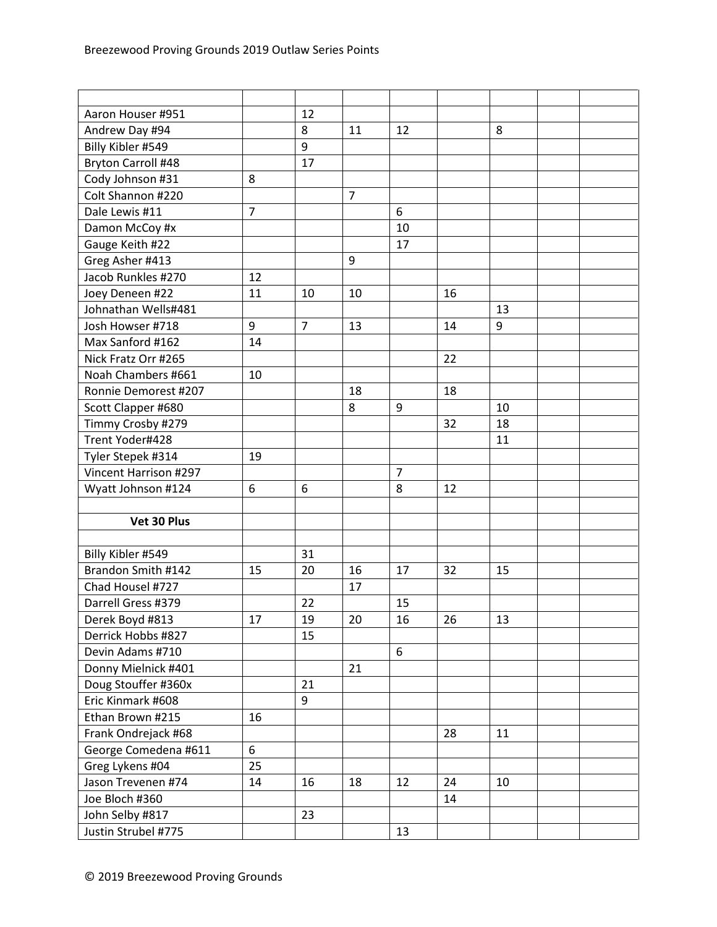| Aaron Houser #951         |                | 12             |                |                |    |    |  |
|---------------------------|----------------|----------------|----------------|----------------|----|----|--|
| Andrew Day #94            |                | 8              | 11             | 12             |    | 8  |  |
| Billy Kibler #549         |                | 9              |                |                |    |    |  |
| <b>Bryton Carroll #48</b> |                | 17             |                |                |    |    |  |
| Cody Johnson #31          | 8              |                |                |                |    |    |  |
| Colt Shannon #220         |                |                | $\overline{7}$ |                |    |    |  |
| Dale Lewis #11            | $\overline{7}$ |                |                | 6              |    |    |  |
| Damon McCoy #x            |                |                |                | 10             |    |    |  |
| Gauge Keith #22           |                |                |                | 17             |    |    |  |
| Greg Asher #413           |                |                | 9              |                |    |    |  |
| Jacob Runkles #270        | 12             |                |                |                |    |    |  |
| Joey Deneen #22           | 11             | 10             | 10             |                | 16 |    |  |
| Johnathan Wells#481       |                |                |                |                |    | 13 |  |
| Josh Howser #718          | 9              | $\overline{7}$ | 13             |                | 14 | 9  |  |
| Max Sanford #162          | 14             |                |                |                |    |    |  |
| Nick Fratz Orr #265       |                |                |                |                | 22 |    |  |
| Noah Chambers #661        | 10             |                |                |                |    |    |  |
| Ronnie Demorest #207      |                |                | 18             |                | 18 |    |  |
| Scott Clapper #680        |                |                | 8              | 9              |    | 10 |  |
| Timmy Crosby #279         |                |                |                |                | 32 | 18 |  |
| Trent Yoder#428           |                |                |                |                |    | 11 |  |
| Tyler Stepek #314         | 19             |                |                |                |    |    |  |
| Vincent Harrison #297     |                |                |                | $\overline{7}$ |    |    |  |
| Wyatt Johnson #124        | 6              | 6              |                | 8              | 12 |    |  |
|                           |                |                |                |                |    |    |  |
| Vet 30 Plus               |                |                |                |                |    |    |  |
|                           |                |                |                |                |    |    |  |
| Billy Kibler #549         |                | 31             |                |                |    |    |  |
| Brandon Smith #142        | 15             | 20             | 16             | 17             | 32 | 15 |  |
| Chad Housel #727          |                |                | 17             |                |    |    |  |
| Darrell Gress #379        |                | 22             |                | 15             |    |    |  |
| Derek Boyd #813           | 17             | 19             | 20             | 16             | 26 | 13 |  |
| Derrick Hobbs #827        |                | 15             |                |                |    |    |  |
| Devin Adams #710          |                |                |                | 6              |    |    |  |
| Donny Mielnick #401       |                |                | 21             |                |    |    |  |
| Doug Stouffer #360x       |                | 21             |                |                |    |    |  |
| Eric Kinmark #608         |                | 9              |                |                |    |    |  |
| Ethan Brown #215          | 16             |                |                |                |    |    |  |
| Frank Ondrejack #68       |                |                |                |                | 28 | 11 |  |
| George Comedena #611      | 6              |                |                |                |    |    |  |
| Greg Lykens #04           | 25             |                |                |                |    |    |  |
| Jason Trevenen #74        | 14             | 16             | 18             | 12             | 24 | 10 |  |
| Joe Bloch #360            |                |                |                |                | 14 |    |  |
| John Selby #817           |                | 23             |                |                |    |    |  |
| Justin Strubel #775       |                |                |                | 13             |    |    |  |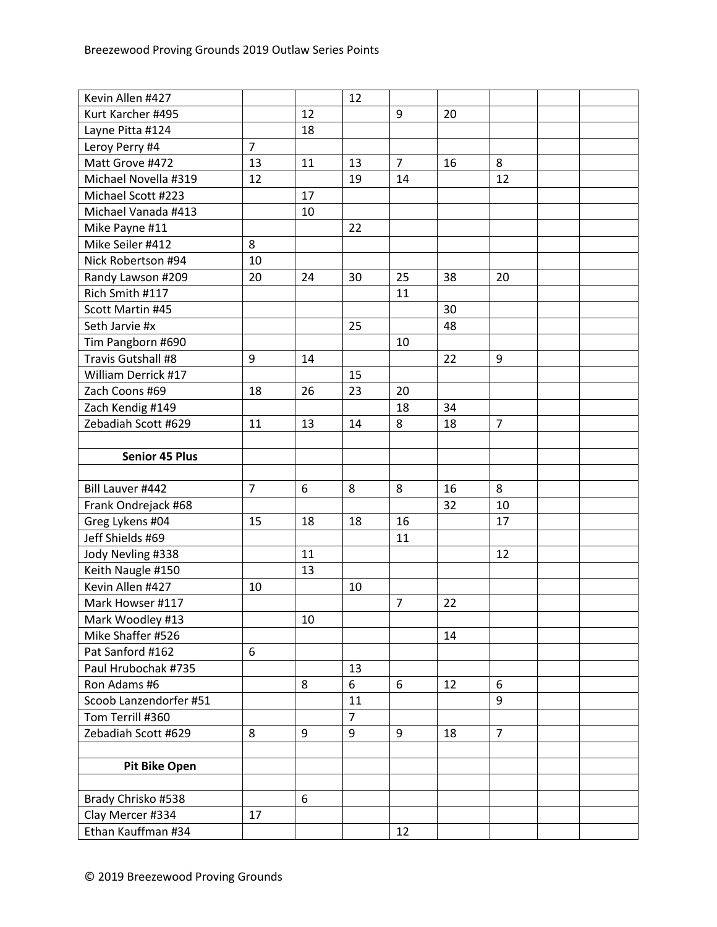| Kevin Allen #427       |                |    | 12             |                |    |                |  |
|------------------------|----------------|----|----------------|----------------|----|----------------|--|
| Kurt Karcher #495      |                | 12 |                | 9              | 20 |                |  |
| Layne Pitta #124       |                | 18 |                |                |    |                |  |
| Leroy Perry #4         | $\overline{7}$ |    |                |                |    |                |  |
| Matt Grove #472        | 13             | 11 | 13             | $\overline{7}$ | 16 | 8              |  |
| Michael Novella #319   | 12             |    | 19             | 14             |    | 12             |  |
| Michael Scott #223     |                | 17 |                |                |    |                |  |
| Michael Vanada #413    |                | 10 |                |                |    |                |  |
| Mike Payne #11         |                |    | 22             |                |    |                |  |
| Mike Seiler #412       | 8              |    |                |                |    |                |  |
| Nick Robertson #94     | 10             |    |                |                |    |                |  |
| Randy Lawson #209      | 20             | 24 | 30             | 25             | 38 | 20             |  |
| Rich Smith #117        |                |    |                | 11             |    |                |  |
| Scott Martin #45       |                |    |                |                | 30 |                |  |
| Seth Jarvie #x         |                |    | 25             |                | 48 |                |  |
| Tim Pangborn #690      |                |    |                | 10             |    |                |  |
| Travis Gutshall #8     | 9              | 14 |                |                | 22 | 9              |  |
| William Derrick #17    |                |    | 15             |                |    |                |  |
| Zach Coons #69         | 18             | 26 | 23             | 20             |    |                |  |
| Zach Kendig #149       |                |    |                | 18             | 34 |                |  |
| Zebadiah Scott #629    | 11             | 13 | 14             | 8              | 18 | $\overline{7}$ |  |
|                        |                |    |                |                |    |                |  |
| <b>Senior 45 Plus</b>  |                |    |                |                |    |                |  |
|                        |                |    |                |                |    |                |  |
| Bill Lauver #442       | $\overline{7}$ | 6  | 8              | 8              | 16 | 8              |  |
| Frank Ondrejack #68    |                |    |                |                | 32 | 10             |  |
| Greg Lykens #04        | 15             | 18 | 18             | 16             |    | 17             |  |
| Jeff Shields #69       |                |    |                | 11             |    |                |  |
| Jody Nevling #338      |                | 11 |                |                |    | 12             |  |
| Keith Naugle #150      |                | 13 |                |                |    |                |  |
| Kevin Allen #427       | 10             |    | 10             |                |    |                |  |
| Mark Howser #117       |                |    |                | $\overline{7}$ | 22 |                |  |
| Mark Woodley #13       |                | 10 |                |                |    |                |  |
| Mike Shaffer #526      |                |    |                |                | 14 |                |  |
| Pat Sanford #162       | 6              |    |                |                |    |                |  |
| Paul Hrubochak #735    |                |    | 13             |                |    |                |  |
| Ron Adams #6           |                | 8  | 6              | 6              | 12 | 6              |  |
| Scoob Lanzendorfer #51 |                |    | 11             |                |    | 9              |  |
| Tom Terrill #360       |                |    | $\overline{7}$ |                |    |                |  |
| Zebadiah Scott #629    | 8              | 9  | 9              | 9              | 18 | $\overline{7}$ |  |
|                        |                |    |                |                |    |                |  |
| <b>Pit Bike Open</b>   |                |    |                |                |    |                |  |
|                        |                |    |                |                |    |                |  |
| Brady Chrisko #538     |                | 6  |                |                |    |                |  |
| Clay Mercer #334       | 17             |    |                |                |    |                |  |
| Ethan Kauffman #34     |                |    |                | 12             |    |                |  |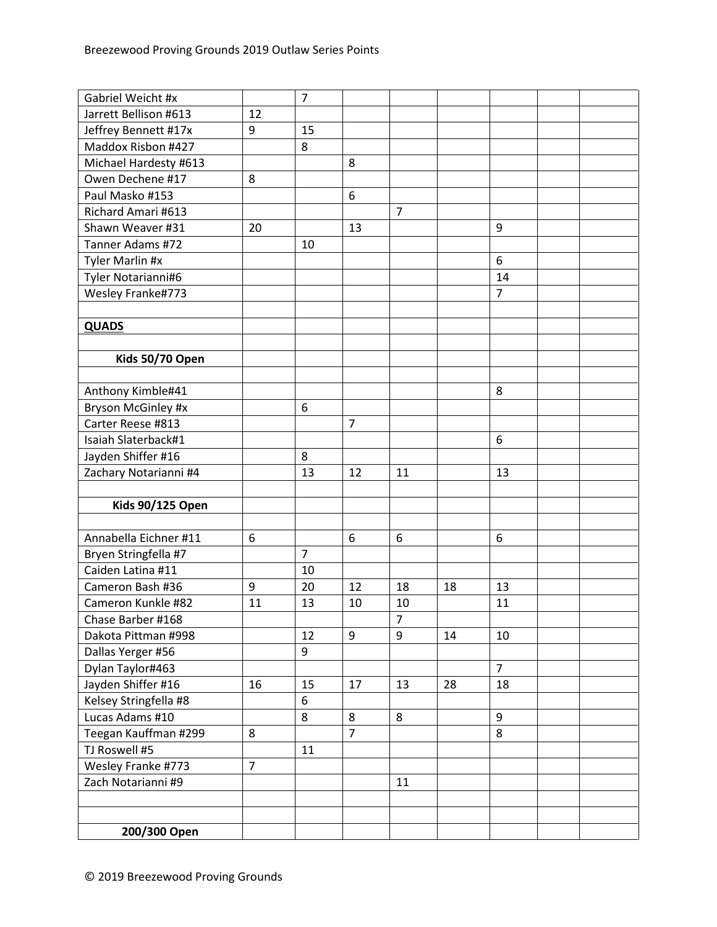| Gabriel Weicht #x       |                | $\overline{7}$ |                |                |    |                |  |
|-------------------------|----------------|----------------|----------------|----------------|----|----------------|--|
| Jarrett Bellison #613   | 12             |                |                |                |    |                |  |
| Jeffrey Bennett #17x    | 9              | 15             |                |                |    |                |  |
| Maddox Risbon #427      |                | 8              |                |                |    |                |  |
| Michael Hardesty #613   |                |                | 8              |                |    |                |  |
| Owen Dechene #17        | 8              |                |                |                |    |                |  |
| Paul Masko #153         |                |                | 6              |                |    |                |  |
| Richard Amari #613      |                |                |                | $\overline{7}$ |    |                |  |
| Shawn Weaver #31        | 20             |                | 13             |                |    | 9              |  |
| Tanner Adams #72        |                | 10             |                |                |    |                |  |
| Tyler Marlin #x         |                |                |                |                |    | 6              |  |
| Tyler Notarianni#6      |                |                |                |                |    | 14             |  |
| Wesley Franke#773       |                |                |                |                |    | 7              |  |
|                         |                |                |                |                |    |                |  |
| <b>QUADS</b>            |                |                |                |                |    |                |  |
|                         |                |                |                |                |    |                |  |
| Kids 50/70 Open         |                |                |                |                |    |                |  |
|                         |                |                |                |                |    |                |  |
| Anthony Kimble#41       |                |                |                |                |    | 8              |  |
| Bryson McGinley #x      |                | 6              |                |                |    |                |  |
| Carter Reese #813       |                |                | $\overline{7}$ |                |    |                |  |
| Isaiah Slaterback#1     |                |                |                |                |    | 6              |  |
| Jayden Shiffer #16      |                | 8              |                |                |    |                |  |
| Zachary Notarianni #4   |                | 13             | 12             | 11             |    | 13             |  |
|                         |                |                |                |                |    |                |  |
| <b>Kids 90/125 Open</b> |                |                |                |                |    |                |  |
|                         |                |                |                |                |    |                |  |
| Annabella Eichner #11   | 6              |                | 6              | 6              |    | 6              |  |
| Bryen Stringfella #7    |                | $\overline{7}$ |                |                |    |                |  |
| Caiden Latina #11       |                | 10             |                |                |    |                |  |
| Cameron Bash #36        | 9              | 20             | 12             | 18             | 18 | 13             |  |
| Cameron Kunkle #82      | 11             | 13             | 10             | 10             |    | 11             |  |
| Chase Barber #168       |                |                |                | 7              |    |                |  |
| Dakota Pittman #998     |                | 12             | 9              | 9              | 14 | 10             |  |
| Dallas Yerger #56       |                | 9              |                |                |    |                |  |
| Dylan Taylor#463        |                |                |                |                |    | $\overline{7}$ |  |
| Jayden Shiffer #16      | 16             | 15             | 17             | 13             | 28 | 18             |  |
| Kelsey Stringfella #8   |                | 6              |                |                |    |                |  |
| Lucas Adams #10         |                | 8              | 8              | 8              |    | 9              |  |
| Teegan Kauffman #299    | 8              |                | $\overline{7}$ |                |    | 8              |  |
| TJ Roswell #5           |                | 11             |                |                |    |                |  |
| Wesley Franke #773      | $\overline{7}$ |                |                |                |    |                |  |
| Zach Notarianni #9      |                |                |                | 11             |    |                |  |
|                         |                |                |                |                |    |                |  |
|                         |                |                |                |                |    |                |  |
| 200/300 Open            |                |                |                |                |    |                |  |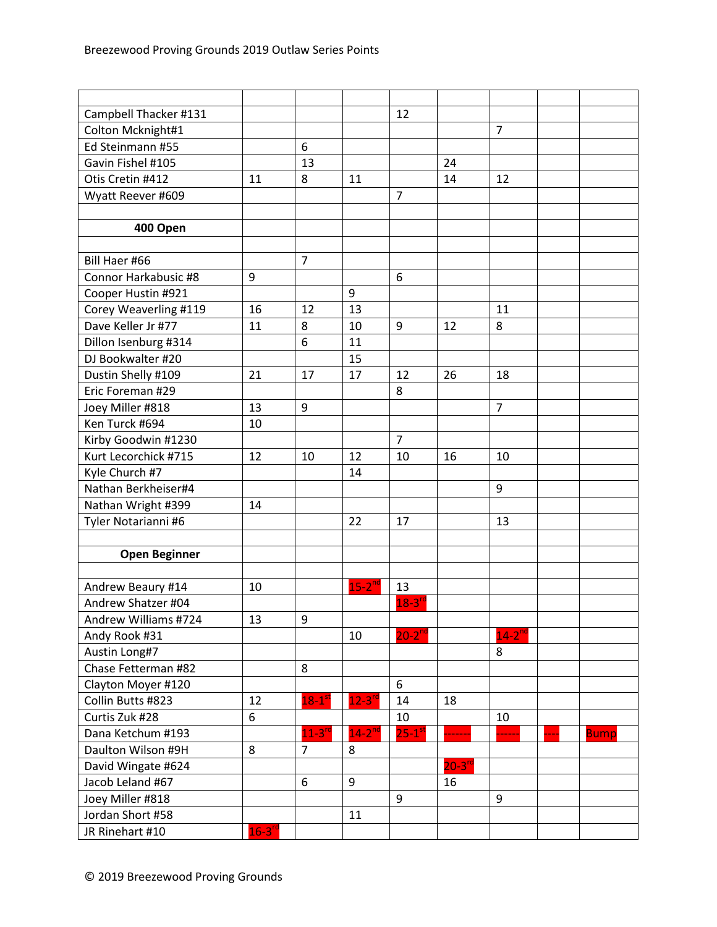| Campbell Thacker #131 |               |                      |                      | 12                     |             |                      |             |
|-----------------------|---------------|----------------------|----------------------|------------------------|-------------|----------------------|-------------|
| Colton Mcknight#1     |               |                      |                      |                        |             | $\overline{7}$       |             |
| Ed Steinmann #55      |               | 6                    |                      |                        |             |                      |             |
| Gavin Fishel #105     |               | 13                   |                      |                        | 24          |                      |             |
| Otis Cretin #412      | 11            | 8                    | 11                   |                        | 14          | 12                   |             |
| Wyatt Reever #609     |               |                      |                      | $\overline{7}$         |             |                      |             |
|                       |               |                      |                      |                        |             |                      |             |
| 400 Open              |               |                      |                      |                        |             |                      |             |
|                       |               |                      |                      |                        |             |                      |             |
| Bill Haer #66         |               | $\overline{7}$       |                      |                        |             |                      |             |
| Connor Harkabusic #8  | 9             |                      |                      | 6                      |             |                      |             |
| Cooper Hustin #921    |               |                      | 9                    |                        |             |                      |             |
| Corey Weaverling #119 | 16            | 12                   | 13                   |                        |             | 11                   |             |
| Dave Keller Jr #77    | 11            | 8                    | 10                   | 9                      | 12          | 8                    |             |
| Dillon Isenburg #314  |               | 6                    | 11                   |                        |             |                      |             |
| DJ Bookwalter #20     |               |                      | 15                   |                        |             |                      |             |
| Dustin Shelly #109    | 21            | 17                   | 17                   | 12                     | 26          | 18                   |             |
| Eric Foreman #29      |               |                      |                      | 8                      |             |                      |             |
| Joey Miller #818      | 13            | 9                    |                      |                        |             | $\overline{7}$       |             |
| Ken Turck #694        | 10            |                      |                      |                        |             |                      |             |
| Kirby Goodwin #1230   |               |                      |                      | $\overline{7}$         |             |                      |             |
| Kurt Lecorchick #715  | 12            | 10                   | 12                   | 10                     | 16          | 10                   |             |
| Kyle Church #7        |               |                      | 14                   |                        |             |                      |             |
| Nathan Berkheiser#4   |               |                      |                      |                        |             | 9                    |             |
| Nathan Wright #399    | 14            |                      |                      |                        |             |                      |             |
| Tyler Notarianni #6   |               |                      | 22                   | 17                     |             | 13                   |             |
|                       |               |                      |                      |                        |             |                      |             |
| <b>Open Beginner</b>  |               |                      |                      |                        |             |                      |             |
|                       |               |                      |                      |                        |             |                      |             |
| Andrew Beaury #14     | 10            |                      | $15-2^{nd}$          | 13                     |             |                      |             |
| Andrew Shatzer #04    |               |                      |                      | $18-3$ <sup>rc</sup>   |             |                      |             |
| Andrew Williams #724  | 13            | 9                    |                      |                        |             |                      |             |
| Andy Rook #31         |               |                      | 10                   | $20 - 2^{nd}$          |             | $14-2$ <sup>nd</sup> |             |
| Austin Long#7         |               |                      |                      |                        |             | 8                    |             |
| Chase Fetterman #82   |               | 8                    |                      |                        |             |                      |             |
| Clayton Moyer #120    |               |                      |                      | 6                      |             |                      |             |
| Collin Butts #823     | 12            | $18-1$ <sup>st</sup> | $12 - 3n$            | 14                     | 18          |                      |             |
| Curtis Zuk #28        | 6             |                      |                      | 10                     |             | 10                   |             |
| Dana Ketchum #193     |               | $11-3$ <sup>rd</sup> | $14-2$ <sup>nd</sup> | $25 - 1$ <sup>st</sup> |             |                      | <b>Bump</b> |
| Daulton Wilson #9H    | 8             | $\overline{7}$       | 8                    |                        |             |                      |             |
| David Wingate #624    |               |                      |                      |                        | $20-3^{rd}$ |                      |             |
| Jacob Leland #67      |               | 6                    | 9                    |                        | 16          |                      |             |
| Joey Miller #818      |               |                      |                      | 9                      |             | 9                    |             |
| Jordan Short #58      |               |                      | 11                   |                        |             |                      |             |
| JR Rinehart #10       | $16 - 3^{rd}$ |                      |                      |                        |             |                      |             |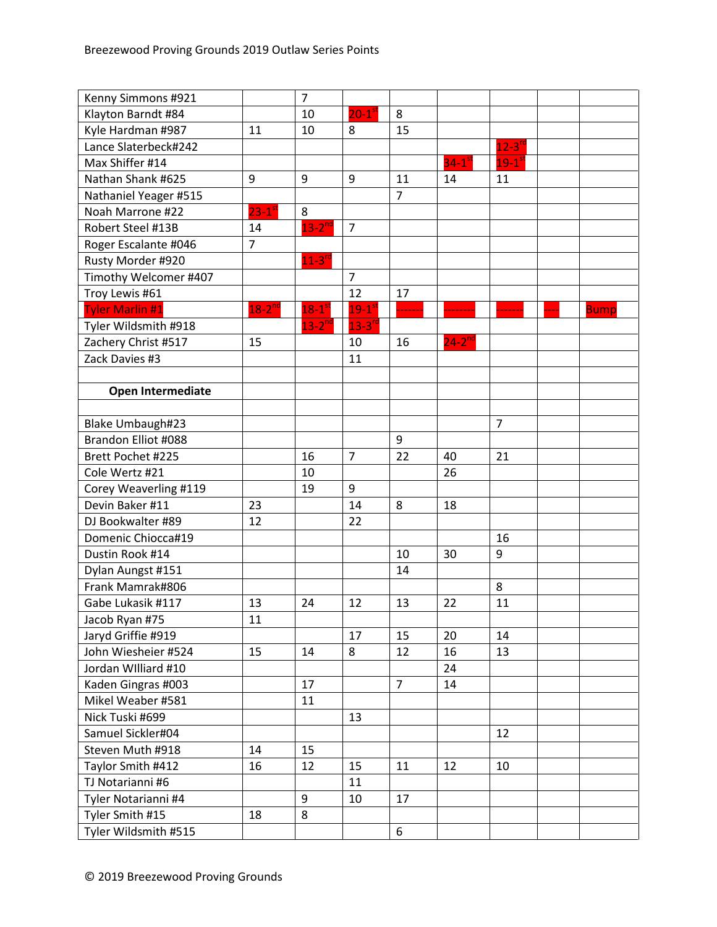| Kenny Simmons #921     |                      | $\overline{7}$       |                        |                |                     |                     |             |
|------------------------|----------------------|----------------------|------------------------|----------------|---------------------|---------------------|-------------|
| Klayton Barndt #84     |                      | 10                   | $20 - 1$ <sup>st</sup> | 8              |                     |                     |             |
| Kyle Hardman #987      | 11                   | 10                   | 8                      | 15             |                     |                     |             |
| Lance Slaterbeck#242   |                      |                      |                        |                |                     | $12 - 3^{10}$       |             |
| Max Shiffer #14        |                      |                      |                        |                | $34-1$ <sup>s</sup> | $19-1$ <sup>s</sup> |             |
| Nathan Shank #625      | 9                    | 9                    | 9                      | 11             | 14                  | 11                  |             |
| Nathaniel Yeager #515  |                      |                      |                        | $\overline{7}$ |                     |                     |             |
| Noah Marrone #22       | $23-1$ <sup>st</sup> | 8                    |                        |                |                     |                     |             |
| Robert Steel #13B      | 14                   | $13-2$ <sup>nd</sup> | $\overline{7}$         |                |                     |                     |             |
| Roger Escalante #046   | $\overline{7}$       |                      |                        |                |                     |                     |             |
| Rusty Morder #920      |                      | $11-3$ <sup>rd</sup> |                        |                |                     |                     |             |
| Timothy Welcomer #407  |                      |                      | $\overline{7}$         |                |                     |                     |             |
| Troy Lewis #61         |                      |                      | 12                     | 17             |                     |                     |             |
| <b>Tyler Marlin #1</b> | $18-2^{nd}$          | $18-1$ <sup>st</sup> | $19 - 1$ <sup>st</sup> |                |                     |                     | <b>Bump</b> |
| Tyler Wildsmith #918   |                      | $13-2$ <sup>nd</sup> | $13 - 3^{r}$           |                |                     |                     |             |
| Zachery Christ #517    | 15                   |                      | 10                     | 16             | $24 - 2^{nd}$       |                     |             |
| Zack Davies #3         |                      |                      | 11                     |                |                     |                     |             |
|                        |                      |                      |                        |                |                     |                     |             |
| Open Intermediate      |                      |                      |                        |                |                     |                     |             |
|                        |                      |                      |                        |                |                     |                     |             |
| Blake Umbaugh#23       |                      |                      |                        |                |                     | $\overline{7}$      |             |
| Brandon Elliot #088    |                      |                      |                        | 9              |                     |                     |             |
| Brett Pochet #225      |                      | 16                   | $\overline{7}$         | 22             | 40                  | 21                  |             |
| Cole Wertz #21         |                      | 10                   |                        |                | 26                  |                     |             |
| Corey Weaverling #119  |                      | 19                   | 9                      |                |                     |                     |             |
| Devin Baker #11        | 23                   |                      | 14                     | 8              | 18                  |                     |             |
| DJ Bookwalter #89      | 12                   |                      | 22                     |                |                     |                     |             |
| Domenic Chiocca#19     |                      |                      |                        |                |                     | 16                  |             |
| Dustin Rook #14        |                      |                      |                        | 10             | 30                  | 9                   |             |
| Dylan Aungst #151      |                      |                      |                        | 14             |                     |                     |             |
| Frank Mamrak#806       |                      |                      |                        |                |                     | 8                   |             |
| Gabe Lukasik #117      | 13                   | 24                   | 12                     | 13             | 22                  | 11                  |             |
| Jacob Ryan #75         | 11                   |                      |                        |                |                     |                     |             |
| Jaryd Griffie #919     |                      |                      | 17                     | 15             | 20                  | 14                  |             |
| John Wiesheier #524    | 15                   | 14                   | 8                      | 12             | 16                  | 13                  |             |
| Jordan Williard #10    |                      |                      |                        |                | 24                  |                     |             |
| Kaden Gingras #003     |                      | 17                   |                        | $\overline{7}$ | 14                  |                     |             |
| Mikel Weaber #581      |                      | 11                   |                        |                |                     |                     |             |
| Nick Tuski #699        |                      |                      | 13                     |                |                     |                     |             |
| Samuel Sickler#04      |                      |                      |                        |                |                     | 12                  |             |
| Steven Muth #918       | 14                   | 15                   |                        |                |                     |                     |             |
| Taylor Smith #412      | 16                   | 12                   | 15                     | 11             | 12                  | 10                  |             |
| TJ Notarianni #6       |                      |                      | 11                     |                |                     |                     |             |
| Tyler Notarianni #4    |                      | 9                    | 10                     | 17             |                     |                     |             |
| Tyler Smith #15        | 18                   | 8                    |                        |                |                     |                     |             |
| Tyler Wildsmith #515   |                      |                      |                        | 6              |                     |                     |             |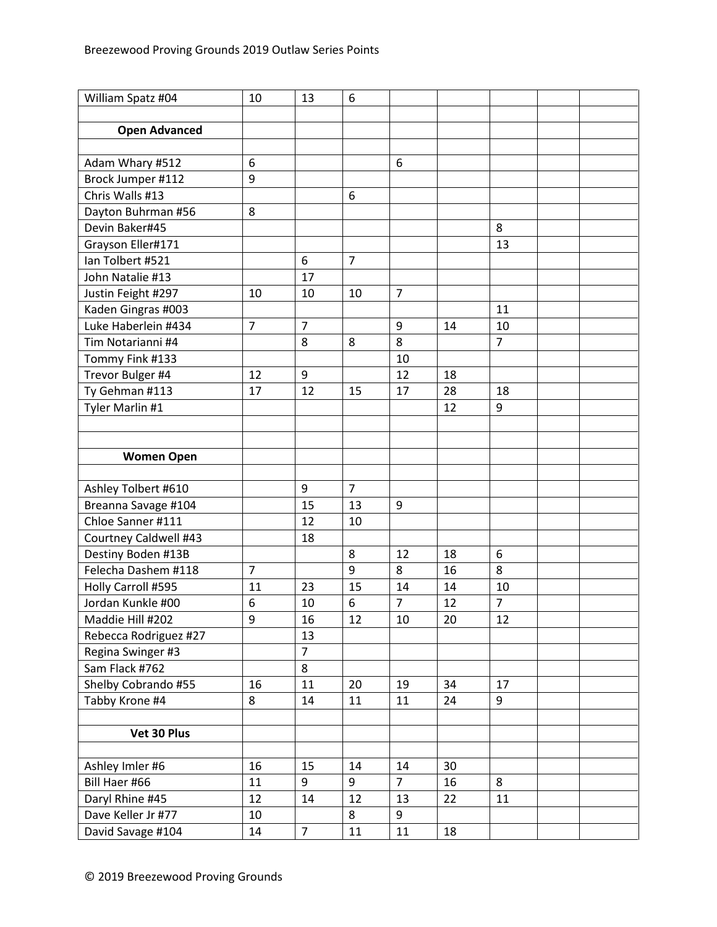| William Spatz #04     | 10             | 13             | 6              |                |    |                |  |
|-----------------------|----------------|----------------|----------------|----------------|----|----------------|--|
|                       |                |                |                |                |    |                |  |
| <b>Open Advanced</b>  |                |                |                |                |    |                |  |
|                       |                |                |                |                |    |                |  |
| Adam Whary #512       | 6              |                |                | 6              |    |                |  |
| Brock Jumper #112     | 9              |                |                |                |    |                |  |
| Chris Walls #13       |                |                | 6              |                |    |                |  |
| Dayton Buhrman #56    | 8              |                |                |                |    |                |  |
| Devin Baker#45        |                |                |                |                |    | 8              |  |
| Grayson Eller#171     |                |                |                |                |    | 13             |  |
| lan Tolbert #521      |                | 6              | $\overline{7}$ |                |    |                |  |
| John Natalie #13      |                | 17             |                |                |    |                |  |
| Justin Feight #297    | 10             | 10             | 10             | $\overline{7}$ |    |                |  |
| Kaden Gingras #003    |                |                |                |                |    | 11             |  |
| Luke Haberlein #434   | $\overline{7}$ | $\overline{7}$ |                | 9              | 14 | 10             |  |
| Tim Notarianni #4     |                | 8              | 8              | 8              |    | $\overline{7}$ |  |
| Tommy Fink #133       |                |                |                | 10             |    |                |  |
| Trevor Bulger #4      | 12             | 9              |                | 12             | 18 |                |  |
| Ty Gehman #113        | 17             | 12             | 15             | 17             | 28 | 18             |  |
| Tyler Marlin #1       |                |                |                |                | 12 | 9              |  |
|                       |                |                |                |                |    |                |  |
|                       |                |                |                |                |    |                |  |
| <b>Women Open</b>     |                |                |                |                |    |                |  |
|                       |                |                |                |                |    |                |  |
| Ashley Tolbert #610   |                | 9              | $\overline{7}$ |                |    |                |  |
| Breanna Savage #104   |                | 15             | 13             | 9              |    |                |  |
| Chloe Sanner #111     |                | 12             | 10             |                |    |                |  |
| Courtney Caldwell #43 |                | 18             |                |                |    |                |  |
| Destiny Boden #13B    |                |                | 8              | 12             | 18 | 6              |  |
| Felecha Dashem #118   | $\overline{7}$ |                | 9              | 8              | 16 | 8              |  |
| Holly Carroll #595    | 11             | 23             | 15             | 14             | 14 | 10             |  |
| Jordan Kunkle #00     | 6              | 10             | 6              | $\overline{7}$ | 12 | $\overline{7}$ |  |
| Maddie Hill #202      | 9              | 16             | 12             | 10             | 20 | 12             |  |
| Rebecca Rodriguez #27 |                | 13             |                |                |    |                |  |
| Regina Swinger #3     |                | $\overline{7}$ |                |                |    |                |  |
| Sam Flack #762        |                | 8              |                |                |    |                |  |
| Shelby Cobrando #55   | 16             | 11             | 20             | 19             | 34 | 17             |  |
| Tabby Krone #4        | 8              | 14             | 11             | 11             | 24 | 9              |  |
|                       |                |                |                |                |    |                |  |
| Vet 30 Plus           |                |                |                |                |    |                |  |
|                       |                |                |                |                |    |                |  |
| Ashley Imler #6       | 16             | 15             | 14             | 14             | 30 |                |  |
| Bill Haer #66         | 11             | 9              | 9              | $\overline{7}$ | 16 | 8              |  |
| Daryl Rhine #45       | 12             | 14             | 12             | 13             | 22 | 11             |  |
| Dave Keller Jr #77    | 10             |                | 8              | 9              |    |                |  |
| David Savage #104     | 14             | $\overline{7}$ | 11             | 11             | 18 |                |  |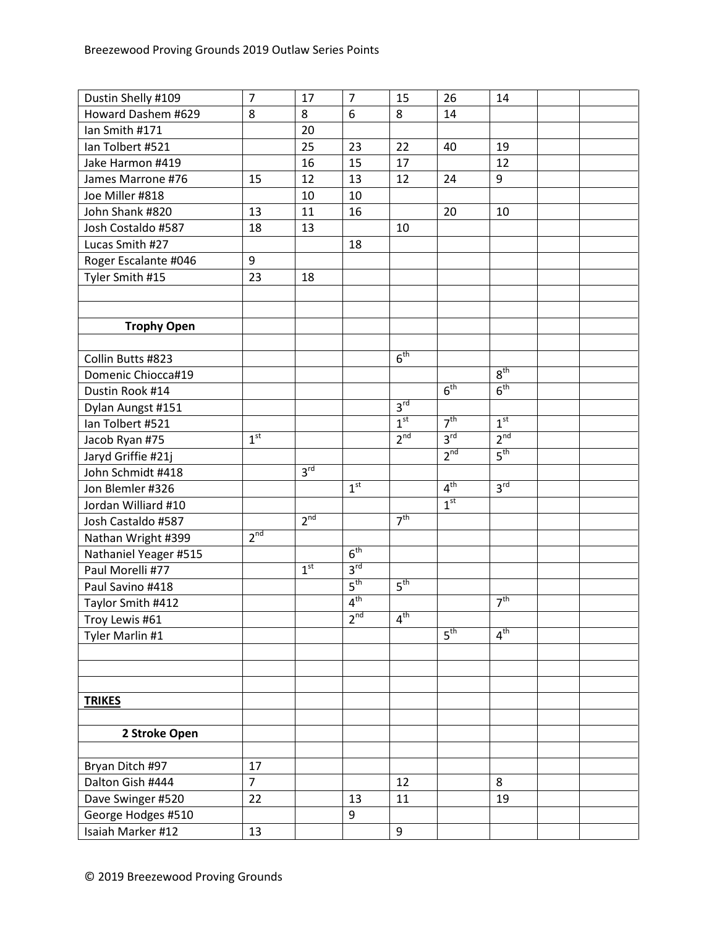| Dustin Shelly #109    | $\overline{7}$  | 17              | $\overline{7}$  | 15              | 26              | 14              |  |
|-----------------------|-----------------|-----------------|-----------------|-----------------|-----------------|-----------------|--|
| Howard Dashem #629    | 8               | 8               | 6               | 8               | 14              |                 |  |
| Ian Smith #171        |                 | 20              |                 |                 |                 |                 |  |
| Ian Tolbert #521      |                 | 25              | 23              | 22              | 40              | 19              |  |
| Jake Harmon #419      |                 | 16              | 15              | 17              |                 | 12              |  |
| James Marrone #76     | 15              | 12              | 13              | 12              | 24              | 9               |  |
| Joe Miller #818       |                 | 10              | 10              |                 |                 |                 |  |
| John Shank #820       | 13              | 11              | 16              |                 | 20              | 10              |  |
| Josh Costaldo #587    | 18              | 13              |                 | 10              |                 |                 |  |
| Lucas Smith #27       |                 |                 | 18              |                 |                 |                 |  |
| Roger Escalante #046  | 9               |                 |                 |                 |                 |                 |  |
| Tyler Smith #15       | 23              | 18              |                 |                 |                 |                 |  |
|                       |                 |                 |                 |                 |                 |                 |  |
|                       |                 |                 |                 |                 |                 |                 |  |
| <b>Trophy Open</b>    |                 |                 |                 |                 |                 |                 |  |
|                       |                 |                 |                 |                 |                 |                 |  |
| Collin Butts #823     |                 |                 |                 | 6 <sup>th</sup> |                 |                 |  |
| Domenic Chiocca#19    |                 |                 |                 |                 |                 | $8^{\text{th}}$ |  |
| Dustin Rook #14       |                 |                 |                 |                 | 6 <sup>th</sup> | 6 <sup>th</sup> |  |
| Dylan Aungst #151     |                 |                 |                 | 3 <sup>rd</sup> |                 |                 |  |
| Ian Tolbert #521      |                 |                 |                 | 1 <sup>st</sup> | 7 <sup>th</sup> | 1 <sup>st</sup> |  |
| Jacob Ryan #75        | 1 <sup>st</sup> |                 |                 | 2 <sup>nd</sup> | 3 <sup>rd</sup> | 2 <sup>nd</sup> |  |
| Jaryd Griffie #21j    |                 |                 |                 |                 | 2 <sup>nd</sup> | 5 <sup>th</sup> |  |
| John Schmidt #418     |                 | 3 <sup>rd</sup> |                 |                 |                 |                 |  |
| Jon Blemler #326      |                 |                 | 1 <sup>st</sup> |                 | 4 <sup>th</sup> | 3 <sup>rd</sup> |  |
| Jordan Williard #10   |                 |                 |                 |                 | 1 <sup>st</sup> |                 |  |
| Josh Castaldo #587    |                 | 2 <sup>nd</sup> |                 | 7 <sup>th</sup> |                 |                 |  |
| Nathan Wright #399    | 2 <sup>nd</sup> |                 |                 |                 |                 |                 |  |
| Nathaniel Yeager #515 |                 |                 | 6 <sup>th</sup> |                 |                 |                 |  |
| Paul Morelli #77      |                 | 1 <sup>st</sup> | 3 <sup>rd</sup> |                 |                 |                 |  |
| Paul Savino #418      |                 |                 | 5 <sup>th</sup> | 5 <sup>th</sup> |                 |                 |  |
| Taylor Smith #412     |                 |                 | 4 <sup>th</sup> |                 |                 | 7 <sup>th</sup> |  |
| Troy Lewis #61        |                 |                 | 2 <sup>nd</sup> | $4^{\text{th}}$ |                 |                 |  |
| Tyler Marlin #1       |                 |                 |                 |                 | 5 <sup>th</sup> | 4 <sup>th</sup> |  |
|                       |                 |                 |                 |                 |                 |                 |  |
|                       |                 |                 |                 |                 |                 |                 |  |
|                       |                 |                 |                 |                 |                 |                 |  |
| <b>TRIKES</b>         |                 |                 |                 |                 |                 |                 |  |
|                       |                 |                 |                 |                 |                 |                 |  |
| 2 Stroke Open         |                 |                 |                 |                 |                 |                 |  |
|                       |                 |                 |                 |                 |                 |                 |  |
| Bryan Ditch #97       | 17              |                 |                 |                 |                 |                 |  |
| Dalton Gish #444      | $\overline{7}$  |                 |                 | 12              |                 | 8               |  |
| Dave Swinger #520     | 22              |                 | 13              | 11              |                 | 19              |  |
| George Hodges #510    |                 |                 | 9               |                 |                 |                 |  |
| Isaiah Marker #12     | 13              |                 |                 | 9               |                 |                 |  |
|                       |                 |                 |                 |                 |                 |                 |  |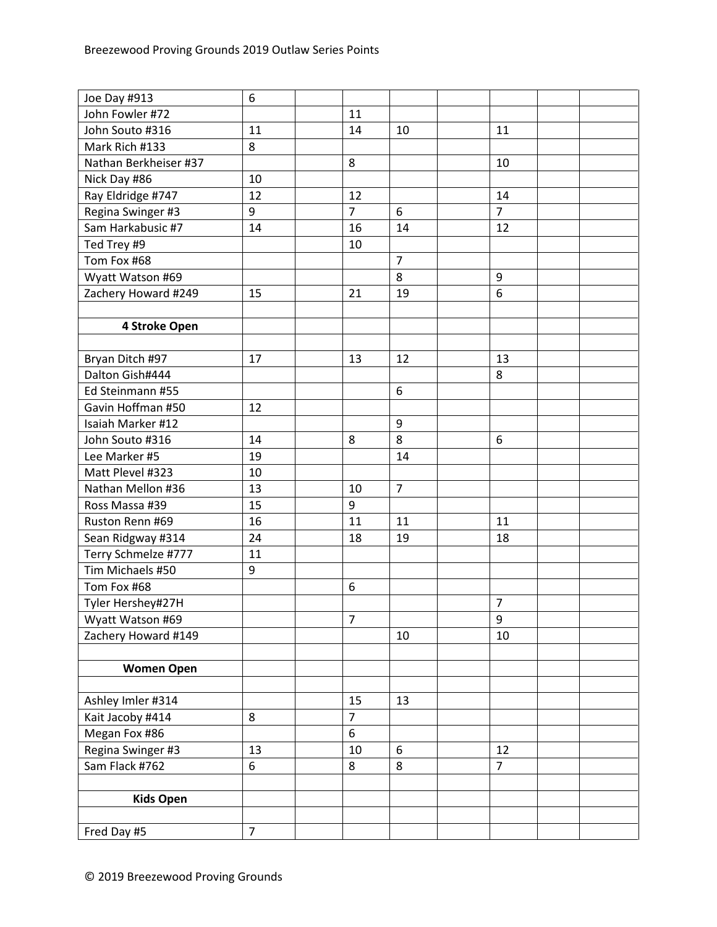| Joe Day #913          | 6              |                |                  |                |  |
|-----------------------|----------------|----------------|------------------|----------------|--|
| John Fowler #72       |                | 11             |                  |                |  |
| John Souto #316       | 11             | 14             | 10               | 11             |  |
| Mark Rich #133        | 8              |                |                  |                |  |
| Nathan Berkheiser #37 |                | 8              |                  | 10             |  |
| Nick Day #86          | 10             |                |                  |                |  |
| Ray Eldridge #747     | 12             | 12             |                  | 14             |  |
| Regina Swinger #3     | 9              | $\overline{7}$ | 6                | $\overline{7}$ |  |
| Sam Harkabusic #7     | 14             | 16             | 14               | 12             |  |
| Ted Trey #9           |                | 10             |                  |                |  |
| Tom Fox #68           |                |                | $\overline{7}$   |                |  |
| Wyatt Watson #69      |                |                | 8                | 9              |  |
| Zachery Howard #249   | 15             | 21             | 19               | 6              |  |
|                       |                |                |                  |                |  |
| 4 Stroke Open         |                |                |                  |                |  |
|                       |                |                |                  |                |  |
| Bryan Ditch #97       | 17             | 13             | 12               | 13             |  |
| Dalton Gish#444       |                |                |                  | 8              |  |
| Ed Steinmann #55      |                |                | 6                |                |  |
| Gavin Hoffman #50     | 12             |                |                  |                |  |
| Isaiah Marker #12     |                |                | $\boldsymbol{9}$ |                |  |
| John Souto #316       | 14             | 8              | 8                | 6              |  |
| Lee Marker #5         | 19             |                | 14               |                |  |
| Matt Plevel #323      | 10             |                |                  |                |  |
| Nathan Mellon #36     | 13             | 10             | $\overline{7}$   |                |  |
| Ross Massa #39        | 15             | 9              |                  |                |  |
| Ruston Renn #69       | 16             | 11             | 11               | 11             |  |
| Sean Ridgway #314     | 24             | 18             | 19               | 18             |  |
| Terry Schmelze #777   | 11             |                |                  |                |  |
| Tim Michaels #50      | 9              |                |                  |                |  |
| Tom Fox #68           |                | 6              |                  |                |  |
| Tyler Hershey#27H     |                |                |                  | $\overline{7}$ |  |
| Wyatt Watson #69      |                | $\overline{7}$ |                  | 9              |  |
| Zachery Howard #149   |                |                | 10               | 10             |  |
|                       |                |                |                  |                |  |
| <b>Women Open</b>     |                |                |                  |                |  |
|                       |                |                |                  |                |  |
| Ashley Imler #314     |                | 15             | 13               |                |  |
| Kait Jacoby #414      | 8              | $\overline{7}$ |                  |                |  |
| Megan Fox #86         |                | 6              |                  |                |  |
| Regina Swinger #3     | 13             | 10             | 6                | 12             |  |
| Sam Flack #762        | 6              | 8              | 8                | $\overline{7}$ |  |
|                       |                |                |                  |                |  |
| <b>Kids Open</b>      |                |                |                  |                |  |
|                       |                |                |                  |                |  |
| Fred Day #5           | $\overline{7}$ |                |                  |                |  |